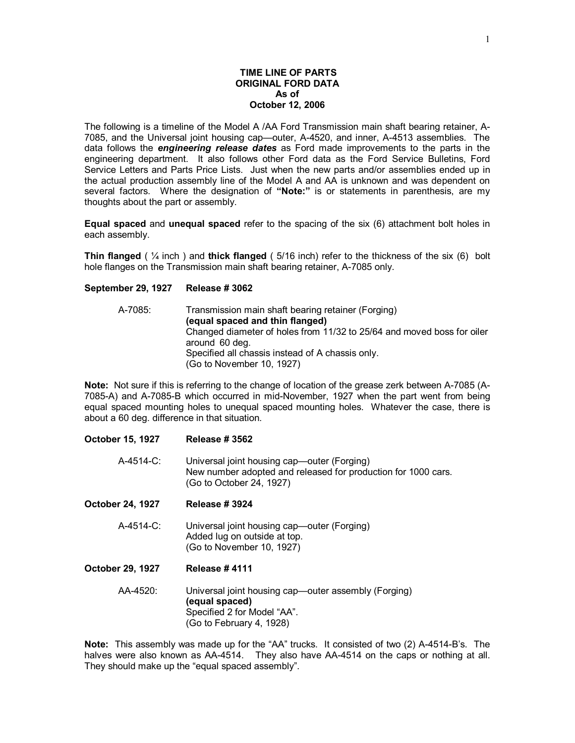### **TIME LINE OF PARTS ORIGINAL FORD DATA As of October 12, 2006**

The following is a timeline of the Model A /AA Ford Transmission main shaft bearing retainer, A-7085, and the Universal joint housing cap—outer, A-4520, and inner, A-4513 assemblies. The data follows the *engineering release dates* as Ford made improvements to the parts in the engineering department. It also follows other Ford data as the Ford Service Bulletins, Ford Service Letters and Parts Price Lists. Just when the new parts and/or assemblies ended up in the actual production assembly line of the Model A and AA is unknown and was dependent on several factors. Where the designation of **"Note:"** is or statements in parenthesis, are my thoughts about the part or assembly.

**Equal spaced** and **unequal spaced** refer to the spacing of the six (6) attachment bolt holes in each assembly.

**Thin flanged** ( ¼ inch ) and **thick flanged** ( 5/16 inch) refer to the thickness of the six (6) bolt hole flanges on the Transmission main shaft bearing retainer, A-7085 only.

### **September 29, 1927 Release # 3062**

| A-7085: | Transmission main shaft bearing retainer (Forging)                                       |
|---------|------------------------------------------------------------------------------------------|
|         | (equal spaced and thin flanged)                                                          |
|         | Changed diameter of holes from 11/32 to 25/64 and moved boss for oiler<br>around 60 deg. |
|         | Specified all chassis instead of A chassis only.<br>(Go to November 10, 1927)            |

**Note:** Not sure if this is referring to the change of location of the grease zerk between A-7085 (A-7085-A) and A-7085-B which occurred in mid-November, 1927 when the part went from being equal spaced mounting holes to unequal spaced mounting holes. Whatever the case, there is about a 60 deg. difference in that situation.

# **October 15, 1927 Release # 3562**

- A-4514-C: Universal joint housing cap—outer (Forging) New number adopted and released for production for 1000 cars. (Go to October 24, 1927)
- **October 24, 1927 Release # 3924** 
	- A-4514-C: Universal joint housing cap—outer (Forging) Added lug on outside at top. (Go to November 10, 1927)
- **October 29, 1927 Release # 4111** 
	- AA-4520: Universal joint housing cap—outer assembly (Forging) **(equal spaced)** Specified 2 for Model "AA". (Go to February 4, 1928)

**Note:** This assembly was made up for the "AA" trucks. It consisted of two (2) A-4514-B's. The halves were also known as AA-4514. They also have AA-4514 on the caps or nothing at all. They should make up the "equal spaced assembly".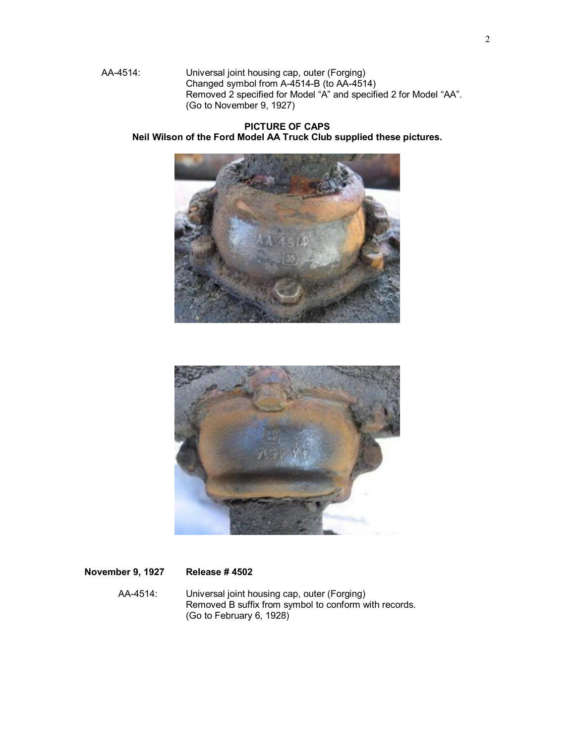AA-4514: Universal joint housing cap, outer (Forging) Changed symbol from A-4514-B (to AA-4514) Removed 2 specified for Model "A" and specified 2 for Model "AA". (Go to November 9, 1927)

**PICTURE OF CAPS Neil Wilson of the Ford Model AA Truck Club supplied these pictures.** 





## **November 9, 1927 Release # 4502**

AA-4514: Universal joint housing cap, outer (Forging) Removed B suffix from symbol to conform with records. (Go to February 6, 1928)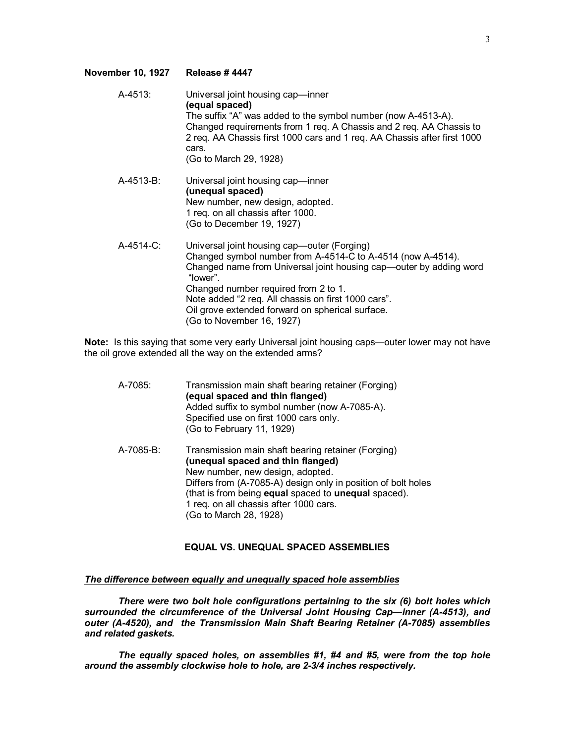## **November 10, 1927 Release # 4447**

| A-4513:   | Universal joint housing cap-inner<br>(equal spaced)<br>The suffix "A" was added to the symbol number (now A-4513-A).<br>Changed requirements from 1 req. A Chassis and 2 req. AA Chassis to<br>2 req. AA Chassis first 1000 cars and 1 req. AA Chassis after first 1000<br>cars.<br>(Go to March 29, 1928)                                                                   |
|-----------|------------------------------------------------------------------------------------------------------------------------------------------------------------------------------------------------------------------------------------------------------------------------------------------------------------------------------------------------------------------------------|
| A-4513-B: | Universal joint housing cap-inner<br>(unequal spaced)<br>New number, new design, adopted.<br>1 req. on all chassis after 1000.<br>(Go to December 19, 1927)                                                                                                                                                                                                                  |
| A-4514-C: | Universal joint housing cap-outer (Forging)<br>Changed symbol number from A-4514-C to A-4514 (now A-4514).<br>Changed name from Universal joint housing cap—outer by adding word<br>"lower".<br>Changed number required from 2 to 1.<br>Note added "2 req. All chassis on first 1000 cars".<br>Oil grove extended forward on spherical surface.<br>(Go to November 16, 1927) |

**Note:** Is this saying that some very early Universal joint housing caps—outer lower may not have the oil grove extended all the way on the extended arms?

| A-7085:   | Transmission main shaft bearing retainer (Forging)<br>(equal spaced and thin flanged)<br>Added suffix to symbol number (now A-7085-A).<br>Specified use on first 1000 cars only.<br>(Go to February 11, 1929)                                                                                                            |
|-----------|--------------------------------------------------------------------------------------------------------------------------------------------------------------------------------------------------------------------------------------------------------------------------------------------------------------------------|
| A-7085-B: | Transmission main shaft bearing retainer (Forging)<br>(unequal spaced and thin flanged)<br>New number, new design, adopted.<br>Differs from (A-7085-A) design only in position of bolt holes<br>(that is from being equal spaced to unequal spaced).<br>1 req. on all chassis after 1000 cars.<br>(Go to March 28, 1928) |

# **EQUAL VS. UNEQUAL SPACED ASSEMBLIES**

#### *The difference between equally and unequally spaced hole assemblies*

*There were two bolt hole configurations pertaining to the six (6) bolt holes which surrounded the circumference of the Universal Joint Housing Cap—inner (A-4513), and outer (A-4520), and the Transmission Main Shaft Bearing Retainer (A-7085) assemblies and related gaskets.* 

*The equally spaced holes, on assemblies #1, #4 and #5, were from the top hole around the assembly clockwise hole to hole, are 2-3/4 inches respectively.*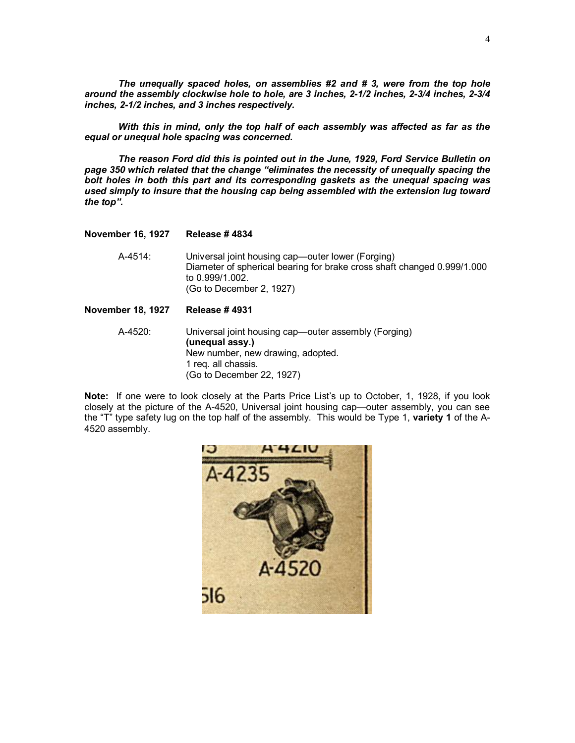*The unequally spaced holes, on assemblies #2 and # 3, were from the top hole around the assembly clockwise hole to hole, are 3 inches, 2-1/2 inches, 2-3/4 inches, 2-3/4 inches, 2-1/2 inches, and 3 inches respectively.* 

*With this in mind, only the top half of each assembly was affected as far as the equal or unequal hole spacing was concerned.* 

*The reason Ford did this is pointed out in the June, 1929, Ford Service Bulletin on page 350 which related that the change "eliminates the necessity of unequally spacing the bolt holes in both this part and its corresponding gaskets as the unequal spacing was used simply to insure that the housing cap being assembled with the extension lug toward the top".* 

#### **November 16, 1927 Release # 4834**

A-4514: Universal joint housing cap—outer lower (Forging) Diameter of spherical bearing for brake cross shaft changed 0.999/1.000 to 0.999/1.002. (Go to December 2, 1927)

#### **November 18, 1927 Release # 4931**

A-4520: Universal joint housing cap—outer assembly (Forging) **(unequal assy.)** New number, new drawing, adopted. 1 req. all chassis. (Go to December 22, 1927)

**Note:** If one were to look closely at the Parts Price List's up to October, 1, 1928, if you look closely at the picture of the A-4520, Universal joint housing cap—outer assembly, you can see the "T" type safety lug on the top half of the assembly. This would be Type 1, **variety 1** of the A-4520 assembly.

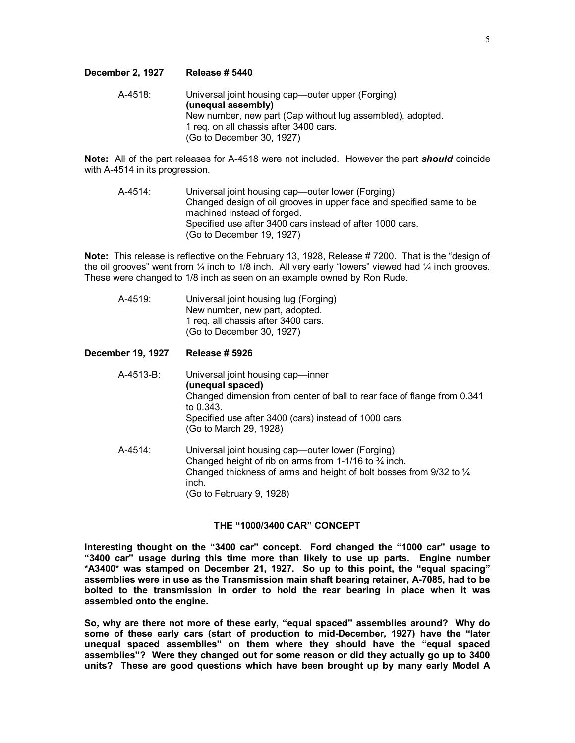#### **December 2, 1927 Release # 5440**

A-4518: Universal joint housing cap—outer upper (Forging) **(unequal assembly)**  New number, new part (Cap without lug assembled), adopted. 1 req. on all chassis after 3400 cars. (Go to December 30, 1927)

**Note:** All of the part releases for A-4518 were not included. However the part *should* coincide with A-4514 in its progression.

A-4514: Universal joint housing cap—outer lower (Forging) Changed design of oil grooves in upper face and specified same to be machined instead of forged. Specified use after 3400 cars instead of after 1000 cars. (Go to December 19, 1927)

**Note:** This release is reflective on the February 13, 1928, Release #7200. That is the "design of the oil grooves" went from  $\frac{1}{4}$  inch to 1/8 inch. All very early "lowers" viewed had  $\frac{1}{4}$  inch grooves. These were changed to 1/8 inch as seen on an example owned by Ron Rude.

A-4519: Universal joint housing lug (Forging) New number, new part, adopted. 1 req. all chassis after 3400 cars. (Go to December 30, 1927)

## **December 19, 1927 Release # 5926**

- A-4513-B: Universal joint housing cap—inner **(unequal spaced)**  Changed dimension from center of ball to rear face of flange from 0.341 to 0.343. Specified use after 3400 (cars) instead of 1000 cars. (Go to March 29, 1928) A-4514: Universal joint housing cap—outer lower (Forging)
	- Changed height of rib on arms from 1-1/16 to  $\frac{3}{4}$  inch. Changed thickness of arms and height of bolt bosses from 9/32 to ¼ inch. (Go to February 9, 1928)

## **THE "1000/3400 CAR" CONCEPT**

**Interesting thought on the "3400 car" concept. Ford changed the "1000 car" usage to "3400 car" usage during this time more than likely to use up parts. Engine number \*A3400\* was stamped on December 21, 1927. So up to this point, the "equal spacing" assemblies were in use as the Transmission main shaft bearing retainer, A-7085, had to be bolted to the transmission in order to hold the rear bearing in place when it was assembled onto the engine.** 

**So, why are there not more of these early, "equal spaced" assemblies around? Why do some of these early cars (start of production to mid-December, 1927) have the "later unequal spaced assemblies" on them where they should have the "equal spaced assemblies"? Were they changed out for some reason or did they actually go up to 3400 units? These are good questions which have been brought up by many early Model A**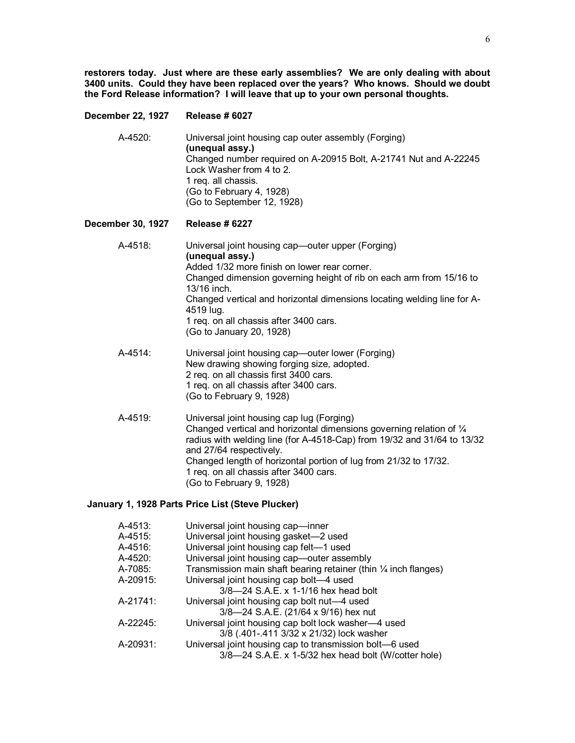**restorers today. Just where are these early assemblies? We are only dealing with about 3400 units. Could they have been replaced over the years? Who knows. Should we doubt the Ford Release information? I will leave that up to your own personal thoughts.**

### **December 22, 1927 Release # 6027**

A-4520: Universal joint housing cap outer assembly (Forging) **(unequal assy.)**  Changed number required on A-20915 Bolt, A-21741 Nut and A-22245 Lock Washer from 4 to 2. 1 req. all chassis. (Go to February 4, 1928) (Go to September 12, 1928)

## **December 30, 1927 Release # 6227**

- A-4518: Universal joint housing cap—outer upper (Forging) **(unequal assy.)**  Added 1/32 more finish on lower rear corner. Changed dimension governing height of rib on each arm from 15/16 to 13/16 inch. Changed vertical and horizontal dimensions locating welding line for A-4519 lug. 1 req. on all chassis after 3400 cars. (Go to January 20, 1928)
- A-4514: Universal joint housing cap—outer lower (Forging) New drawing showing forging size, adopted. 2 req. on all chassis first 3400 cars. 1 req. on all chassis after 3400 cars. (Go to February 9, 1928)
- A-4519: Universal joint housing cap lug (Forging) Changed vertical and horizontal dimensions governing relation of ¼ radius with welding line (for A-4518-Cap) from 19/32 and 31/64 to 13/32 and 27/64 respectively. Changed length of horizontal portion of lug from 21/32 to 17/32. 1 req. on all chassis after 3400 cars. (Go to February 9, 1928)

## **January 1, 1928 Parts Price List (Steve Plucker)**

| A-4513:  | Universal joint housing cap-inner                                          |
|----------|----------------------------------------------------------------------------|
| A-4515:  | Universal joint housing gasket-2 used                                      |
| A-4516:  | Universal joint housing cap felt-1 used                                    |
| A-4520:  | Universal joint housing cap-outer assembly                                 |
| A-7085:  | Transmission main shaft bearing retainer (thin $\frac{1}{4}$ inch flanges) |
| A-20915: | Universal joint housing cap bolt-4 used                                    |
|          | 3/8-24 S.A.E. x 1-1/16 hex head bolt                                       |
| A-21741: | Universal joint housing cap bolt nut-4 used                                |
|          | 3/8-24 S.A.E. (21/64 x 9/16) hex nut                                       |
| A-22245: | Universal joint housing cap bolt lock washer-4 used                        |
|          | 3/8 (.401-.411 3/32 x 21/32) lock washer                                   |
| A-20931: | Universal joint housing cap to transmission bolt-6 used                    |
|          | 3/8-24 S.A.E. x 1-5/32 hex head bolt (W/cotter hole)                       |
|          |                                                                            |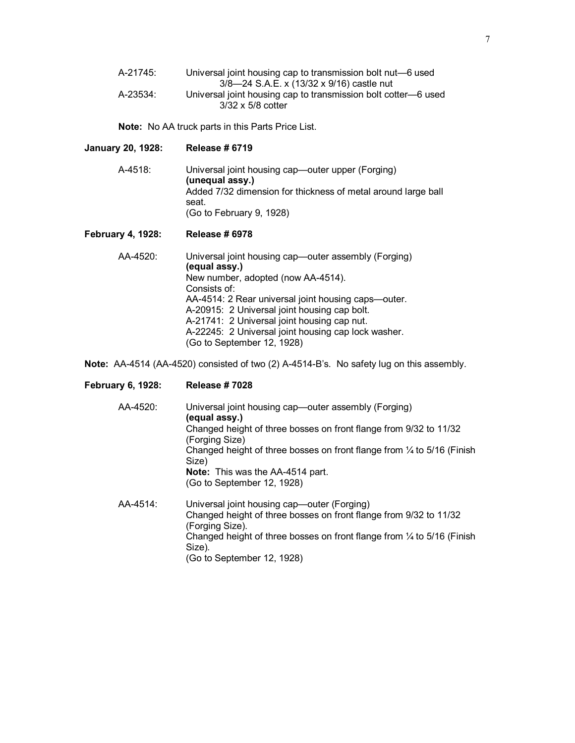| A-21745: | Universal joint housing cap to transmission bolt nut-6 used    |
|----------|----------------------------------------------------------------|
|          | 3/8-24 S.A.E. x (13/32 x 9/16) castle nut                      |
| A-23534: | Universal joint housing cap to transmission bolt cotter—6 used |
|          | $3/32 \times 5/8$ cotter                                       |

**Note:** No AA truck parts in this Parts Price List.

#### **January 20, 1928: Release # 6719**

A-4518: Universal joint housing cap—outer upper (Forging) **(unequal assy.)**  Added 7/32 dimension for thickness of metal around large ball seat. (Go to February 9, 1928)

### **February 4, 1928: Release # 6978**

AA-4520: Universal joint housing cap—outer assembly (Forging) **(equal assy.)** New number, adopted (now AA-4514). Consists of: AA-4514: 2 Rear universal joint housing caps—outer. A-20915: 2 Universal joint housing cap bolt. A-21741: 2 Universal joint housing cap nut. A-22245: 2 Universal joint housing cap lock washer. (Go to September 12, 1928)

**Note:** AA-4514 (AA-4520) consisted of two (2) A-4514-B's. No safety lug on this assembly.

### **February 6, 1928: Release # 7028**

- AA-4520: Universal joint housing cap—outer assembly (Forging) **(equal assy.)** Changed height of three bosses on front flange from 9/32 to 11/32 (Forging Size) Changed height of three bosses on front flange from  $\frac{1}{4}$  to 5/16 (Finish Size) **Note:** This was the AA-4514 part. (Go to September 12, 1928) AA-4514: Universal joint housing cap—outer (Forging)
	- Changed height of three bosses on front flange from 9/32 to 11/32 (Forging Size). Changed height of three bosses on front flange from ¼ to 5/16 (Finish Size). (Go to September 12, 1928)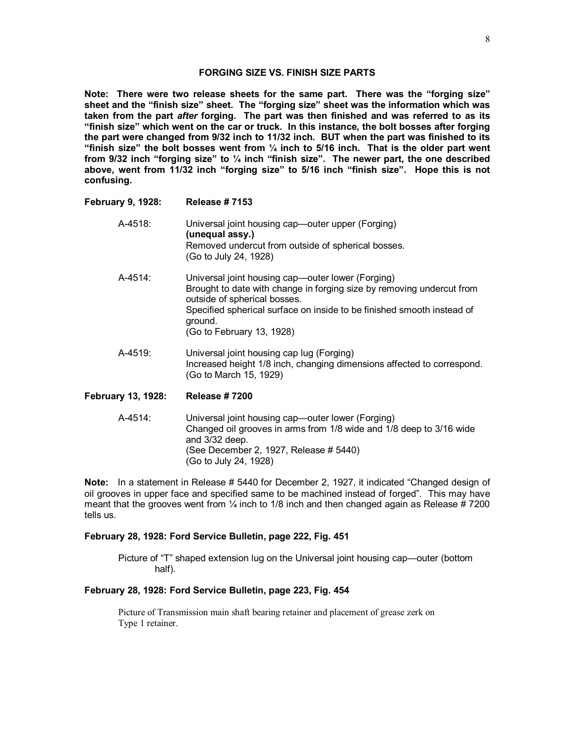## **FORGING SIZE VS. FINISH SIZE PARTS**

**Note: There were two release sheets for the same part. There was the "forging size" sheet and the "finish size" sheet. The "forging size" sheet was the information which was taken from the part** *after* **forging. The part was then finished and was referred to as its "finish size" which went on the car or truck. In this instance, the bolt bosses after forging the part were changed from 9/32 inch to 11/32 inch. BUT when the part was finished to its "finish size" the bolt bosses went from ¼ inch to 5/16 inch. That is the older part went from 9/32 inch "forging size" to ¼ inch "finish size". The newer part, the one described above, went from 11/32 inch "forging size" to 5/16 inch "finish size". Hope this is not confusing.**

## **February 9, 1928: Release # 7153**

- A-4518: Universal joint housing cap—outer upper (Forging) **(unequal assy.)** Removed undercut from outside of spherical bosses. (Go to July 24, 1928)
- A-4514: Universal joint housing cap—outer lower (Forging) Brought to date with change in forging size by removing undercut from outside of spherical bosses. Specified spherical surface on inside to be finished smooth instead of ground. (Go to February 13, 1928)
- A-4519: Universal joint housing cap lug (Forging) Increased height 1/8 inch, changing dimensions affected to correspond. (Go to March 15, 1929)

### **February 13, 1928: Release # 7200**

A-4514: Universal joint housing cap—outer lower (Forging) Changed oil grooves in arms from 1/8 wide and 1/8 deep to 3/16 wide and 3/32 deep. (See December 2, 1927, Release # 5440) (Go to July 24, 1928)

**Note:** In a statement in Release # 5440 for December 2, 1927, it indicated "Changed design of oil grooves in upper face and specified same to be machined instead of forged". This may have meant that the grooves went from  $\frac{1}{4}$  inch to 1/8 inch and then changed again as Release # 7200 tells us.

### **February 28, 1928: Ford Service Bulletin, page 222, Fig. 451**

Picture of "T" shaped extension lug on the Universal joint housing cap—outer (bottom half).

### **February 28, 1928: Ford Service Bulletin, page 223, Fig. 454**

Picture of Transmission main shaft bearing retainer and placement of grease zerk on Type 1 retainer.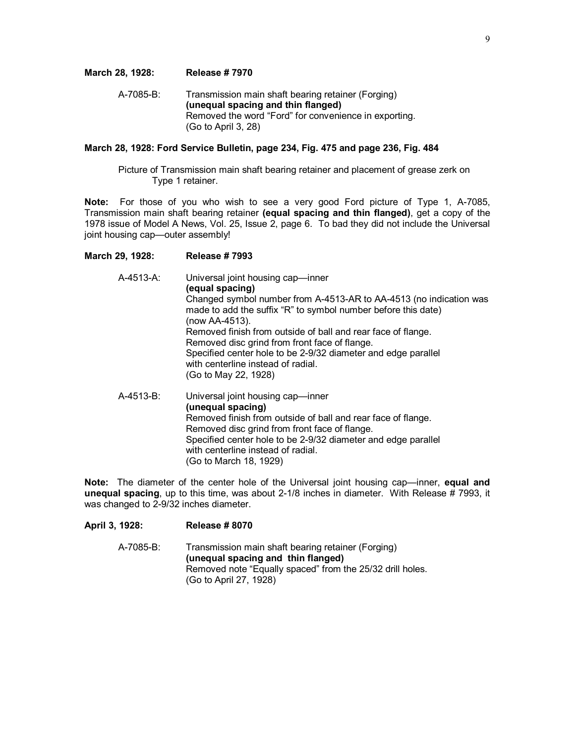#### **March 28, 1928: Release # 7970**

A-7085-B: Transmission main shaft bearing retainer (Forging) **(unequal spacing and thin flanged)**  Removed the word "Ford" for convenience in exporting. (Go to April 3, 28)

#### **March 28, 1928: Ford Service Bulletin, page 234, Fig. 475 and page 236, Fig. 484**

Picture of Transmission main shaft bearing retainer and placement of grease zerk on Type 1 retainer.

**Note:** For those of you who wish to see a very good Ford picture of Type 1, A-7085, Transmission main shaft bearing retainer **(equal spacing and thin flanged)**, get a copy of the 1978 issue of Model A News, Vol. 25, Issue 2, page 6. To bad they did not include the Universal joint housing cap—outer assembly!

#### **March 29, 1928: Release # 7993**

A-4513-A: Universal joint housing cap—inner **(equal spacing)** Changed symbol number from A-4513-AR to AA-4513 (no indication was made to add the suffix "R" to symbol number before this date) (now AA-4513). Removed finish from outside of ball and rear face of flange. Removed disc grind from front face of flange. Specified center hole to be 2-9/32 diameter and edge parallel with centerline instead of radial. (Go to May 22, 1928) A-4513-B: Universal joint housing cap—inner **(unequal spacing)**  Removed finish from outside of ball and rear face of flange. Removed disc grind from front face of flange. Specified center hole to be 2-9/32 diameter and edge parallel with centerline instead of radial. (Go to March 18, 1929)

**Note:** The diameter of the center hole of the Universal joint housing cap—inner, **equal and unequal spacing**, up to this time, was about 2-1/8 inches in diameter. With Release # 7993, it was changed to 2-9/32 inches diameter.

## **April 3, 1928: Release # 8070**

A-7085-B: Transmission main shaft bearing retainer (Forging) **(unequal spacing and thin flanged)**  Removed note "Equally spaced" from the 25/32 drill holes. (Go to April 27, 1928)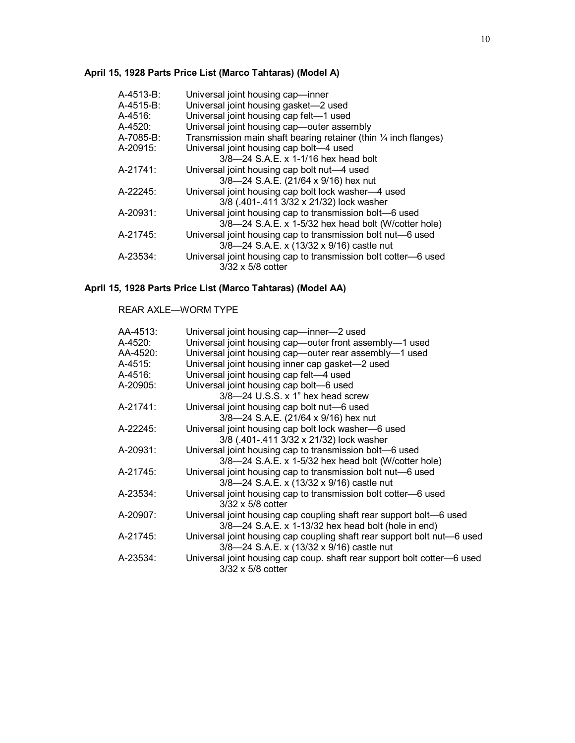# **April 15, 1928 Parts Price List (Marco Tahtaras) (Model A)**

| $A-4513-B$ : | Universal joint housing cap-inner                                          |
|--------------|----------------------------------------------------------------------------|
| $A-4515-B$ : | Universal joint housing gasket-2 used                                      |
| $A-4516$ :   | Universal joint housing cap felt-1 used                                    |
| A-4520:      | Universal joint housing cap-outer assembly                                 |
| A-7085-B:    | Transmission main shaft bearing retainer (thin $\frac{1}{4}$ inch flanges) |
| A-20915:     | Universal joint housing cap bolt-4 used                                    |
|              | 3/8-24 S.A.E. x 1-1/16 hex head bolt                                       |
| A-21741:     | Universal joint housing cap bolt nut-4 used                                |
|              | 3/8-24 S.A.E. (21/64 x 9/16) hex nut                                       |
| A-22245:     | Universal joint housing cap bolt lock washer-4 used                        |
|              | 3/8 (.401-.411 3/32 x 21/32) lock washer                                   |
| A-20931:     | Universal joint housing cap to transmission bolt-6 used                    |
|              | 3/8-24 S.A.E. x 1-5/32 hex head bolt (W/cotter hole)                       |
| A-21745:     | Universal joint housing cap to transmission bolt nut-6 used                |
|              | 3/8-24 S.A.E. x (13/32 x 9/16) castle nut                                  |
| A-23534:     | Universal joint housing cap to transmission bolt cotter-6 used             |
|              | $3/32 \times 5/8$ cotter                                                   |

# **April 15, 1928 Parts Price List (Marco Tahtaras) (Model AA)**

# REAR AXLE—WORM TYPE

| AA-4513: | Universal joint housing cap-inner-2 used                                |
|----------|-------------------------------------------------------------------------|
| A-4520:  | Universal joint housing cap—outer front assembly—1 used                 |
| AA-4520: | Universal joint housing cap—outer rear assembly—1 used                  |
| A-4515:  | Universal joint housing inner cap gasket-2 used                         |
| A-4516:  | Universal joint housing cap felt-4 used                                 |
| A-20905: | Universal joint housing cap bolt-6 used                                 |
|          | $3/8$ —24 U.S.S. x 1" hex head screw                                    |
| A-21741: | Universal joint housing cap bolt nut-6 used                             |
|          | 3/8-24 S.A.E. (21/64 x 9/16) hex nut                                    |
| A-22245: | Universal joint housing cap bolt lock washer-6 used                     |
|          | 3/8 (.401-.411 3/32 x 21/32) lock washer                                |
| A-20931: | Universal joint housing cap to transmission bolt—6 used                 |
|          | 3/8-24 S.A.E. x 1-5/32 hex head bolt (W/cotter hole)                    |
| A-21745: | Universal joint housing cap to transmission bolt nut-6 used             |
|          | 3/8-24 S.A.E. x (13/32 x 9/16) castle nut                               |
| A-23534: | Universal joint housing cap to transmission bolt cotter-6 used          |
|          | $3/32 \times 5/8$ cotter                                                |
| A-20907: | Universal joint housing cap coupling shaft rear support bolt-6 used     |
|          | 3/8-24 S.A.E. x 1-13/32 hex head bolt (hole in end)                     |
| A-21745: | Universal joint housing cap coupling shaft rear support bolt nut-6 used |
|          | 3/8-24 S.A.E. x (13/32 x 9/16) castle nut                               |
| A-23534: | Universal joint housing cap coup. shaft rear support bolt cotter-6 used |
|          | $3/32 \times 5/8$ cotter                                                |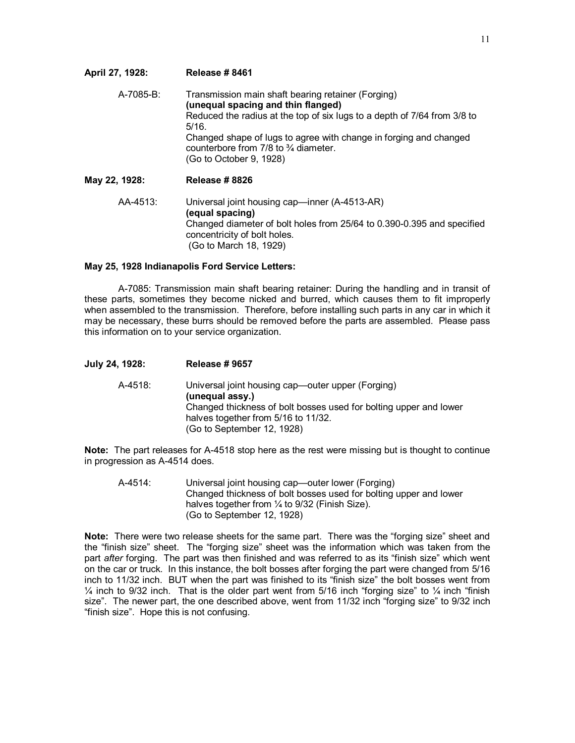| April 27, 1928: | <b>Release #8461</b>                                                                                                                                                                                                                                                                                                               |
|-----------------|------------------------------------------------------------------------------------------------------------------------------------------------------------------------------------------------------------------------------------------------------------------------------------------------------------------------------------|
| A-7085-B:       | Transmission main shaft bearing retainer (Forging)<br>(unequal spacing and thin flanged)<br>Reduced the radius at the top of six lugs to a depth of 7/64 from 3/8 to<br>5/16.<br>Changed shape of lugs to agree with change in forging and changed<br>counterbore from $7/8$ to $\frac{3}{4}$ diameter.<br>(Go to October 9, 1928) |
| May 22, 1928:   | Release #8826                                                                                                                                                                                                                                                                                                                      |
| AA-4513:        | Universal joint housing cap-inner (A-4513-AR)<br>(equal spacing)<br>Changed diameter of bolt holes from 25/64 to 0.390-0.395 and specified<br>concentricity of bolt holes.<br>(Go to March 18, 1929)                                                                                                                               |

#### **May 25, 1928 Indianapolis Ford Service Letters:**

A-7085: Transmission main shaft bearing retainer: During the handling and in transit of these parts, sometimes they become nicked and burred, which causes them to fit improperly when assembled to the transmission. Therefore, before installing such parts in any car in which it may be necessary, these burrs should be removed before the parts are assembled. Please pass this information on to your service organization.

| July 24, 1928: | <b>Release # 9657</b>                                                                                                                                                                                          |
|----------------|----------------------------------------------------------------------------------------------------------------------------------------------------------------------------------------------------------------|
| A-4518:        | Universal joint housing cap—outer upper (Forging)<br>(unequal assy.)<br>Changed thickness of bolt bosses used for bolting upper and lower<br>halves together from 5/16 to 11/32.<br>(Go to September 12, 1928) |

**Note:** The part releases for A-4518 stop here as the rest were missing but is thought to continue in progression as A-4514 does.

A-4514: Universal joint housing cap—outer lower (Forging) Changed thickness of bolt bosses used for bolting upper and lower halves together from 1/4 to 9/32 (Finish Size). (Go to September 12, 1928)

**Note:** There were two release sheets for the same part. There was the "forging size" sheet and the "finish size" sheet. The "forging size" sheet was the information which was taken from the part *after* forging. The part was then finished and was referred to as its "finish size" which went on the car or truck. In this instance, the bolt bosses after forging the part were changed from 5/16 inch to 11/32 inch. BUT when the part was finished to its "finish size" the bolt bosses went from  $\frac{1}{4}$  inch to 9/32 inch. That is the older part went from 5/16 inch "forging size" to  $\frac{1}{4}$  inch "finish size". The newer part, the one described above, went from 11/32 inch "forging size" to 9/32 inch "finish size". Hope this is not confusing.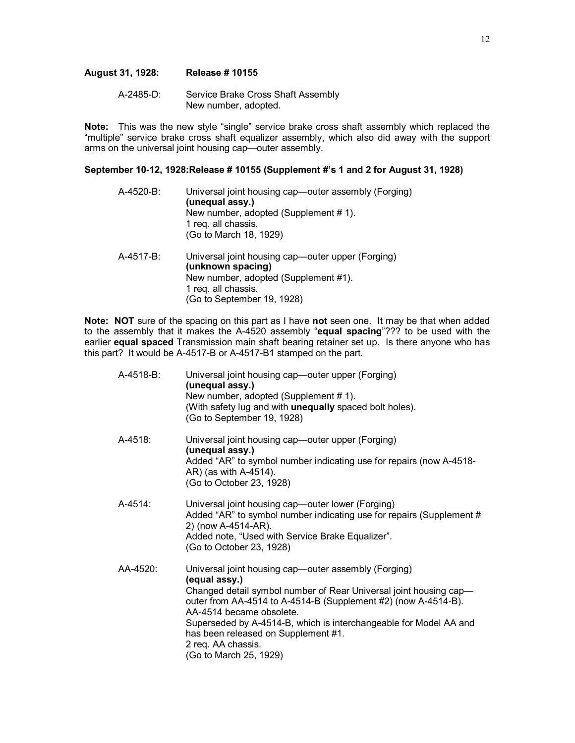## **August 31, 1928: Release # 10155**

A-2485-D: Service Brake Cross Shaft Assembly New number, adopted.

**Note:** This was the new style "single" service brake cross shaft assembly which replaced the "multiple" service brake cross shaft equalizer assembly, which also did away with the support arms on the universal joint housing cap—outer assembly.

## **September 10-12, 1928:Release # 10155 (Supplement #'s 1 and 2 for August 31, 1928)**

| A-4520-B: | Universal joint housing cap—outer assembly (Forging)<br>(unequal assy.)<br>New number, adopted (Supplement #1).<br>1 req. all chassis.<br>(Go to March 18, 1929)    |
|-----------|---------------------------------------------------------------------------------------------------------------------------------------------------------------------|
| A-4517-B: | Universal joint housing cap-outer upper (Forging)<br>(unknown spacing)<br>New number, adopted (Supplement #1).<br>1 reg. all chassis.<br>(Go to September 19, 1928) |

**Note: NOT** sure of the spacing on this part as I have **not** seen one. It may be that when added to the assembly that it makes the A-4520 assembly "**equal spacing**"??? to be used with the earlier **equal spaced** Transmission main shaft bearing retainer set up. Is there anyone who has this part? It would be A-4517-B or A-4517-B1 stamped on the part.

| A-4518-B: | Universal joint housing cap—outer upper (Forging)<br>(unequal assy.)<br>New number, adopted (Supplement #1).<br>(With safety lug and with unequally spaced bolt holes).<br>(Go to September 19, 1928)                                                                                                                                                                                                |
|-----------|------------------------------------------------------------------------------------------------------------------------------------------------------------------------------------------------------------------------------------------------------------------------------------------------------------------------------------------------------------------------------------------------------|
| A-4518:   | Universal joint housing cap—outer upper (Forging)<br>(unequal assy.)<br>Added "AR" to symbol number indicating use for repairs (now A-4518-<br>AR) (as with A-4514).<br>(Go to October 23, 1928)                                                                                                                                                                                                     |
| A-4514:   | Universal joint housing cap—outer lower (Forging)<br>Added "AR" to symbol number indicating use for repairs (Supplement #<br>2) (now A-4514-AR).<br>Added note, "Used with Service Brake Equalizer".<br>(Go to October 23, 1928)                                                                                                                                                                     |
| AA-4520:  | Universal joint housing cap-outer assembly (Forging)<br>(equal assy.)<br>Changed detail symbol number of Rear Universal joint housing cap-<br>outer from AA-4514 to A-4514-B (Supplement #2) (now A-4514-B).<br>AA-4514 became obsolete.<br>Superseded by A-4514-B, which is interchangeable for Model AA and<br>has been released on Supplement #1.<br>2 req. AA chassis.<br>(Go to March 25, 1929) |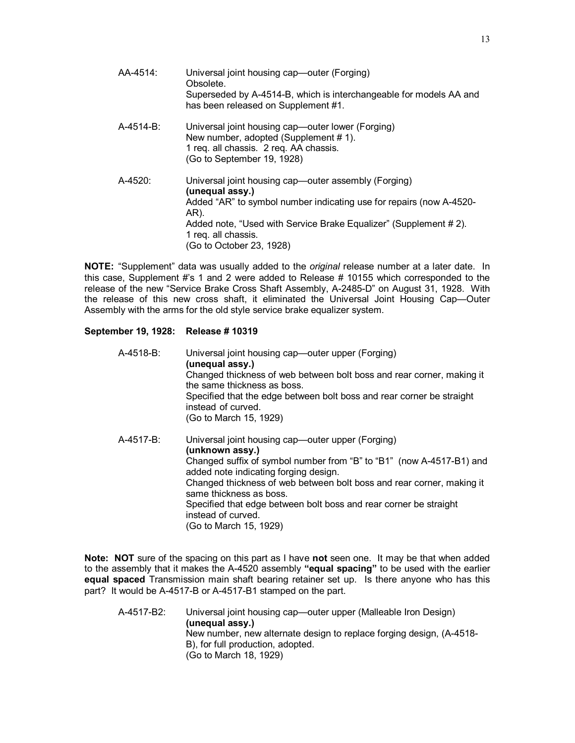| AA-4514:     | Universal joint housing cap—outer (Forging)<br>Obsolete.<br>Superseded by A-4514-B, which is interchangeable for models AA and<br>has been released on Supplement #1.                                                                                                         |
|--------------|-------------------------------------------------------------------------------------------------------------------------------------------------------------------------------------------------------------------------------------------------------------------------------|
| $A-4514-B$ : | Universal joint housing cap—outer lower (Forging)<br>New number, adopted (Supplement #1).<br>1 req. all chassis. 2 req. AA chassis.<br>(Go to September 19, 1928)                                                                                                             |
| $A-4520$ :   | Universal joint housing cap—outer assembly (Forging)<br>(unequal assy.)<br>Added "AR" to symbol number indicating use for repairs (now A-4520-<br>AR).<br>Added note, "Used with Service Brake Equalizer" (Supplement #2).<br>1 reg. all chassis.<br>(Go to October 23, 1928) |

**NOTE:** "Supplement" data was usually added to the *original* release number at a later date. In this case, Supplement #'s 1 and 2 were added to Release # 10155 which corresponded to the release of the new "Service Brake Cross Shaft Assembly, A-2485-D" on August 31, 1928. With the release of this new cross shaft, it eliminated the Universal Joint Housing Cap—Outer Assembly with the arms for the old style service brake equalizer system.

## **September 19, 1928: Release # 10319**

| A-4518-B: | Universal joint housing cap—outer upper (Forging)<br>(unequal assy.)<br>Changed thickness of web between bolt boss and rear corner, making it<br>the same thickness as boss.<br>Specified that the edge between bolt boss and rear corner be straight<br>instead of curved.<br>(Go to March 15, 1929)                                                                                |
|-----------|--------------------------------------------------------------------------------------------------------------------------------------------------------------------------------------------------------------------------------------------------------------------------------------------------------------------------------------------------------------------------------------|
| A-4517-B: | Universal joint housing cap—outer upper (Forging)<br>(unknown assy.)<br>Changed suffix of symbol number from "B" to "B1" (now A-4517-B1) and<br>added note indicating forging design.<br>Changed thickness of web between bolt boss and rear corner, making it<br>same thickness as boss.<br>Specified that edge between bolt boss and rear corner be straight<br>instead of curved. |

**Note: NOT** sure of the spacing on this part as I have **not** seen one. It may be that when added to the assembly that it makes the A-4520 assembly **"equal spacing"** to be used with the earlier **equal spaced** Transmission main shaft bearing retainer set up. Is there anyone who has this part? It would be A-4517-B or A-4517-B1 stamped on the part.

(Go to March 15, 1929)

A-4517-B2: Universal joint housing cap—outer upper (Malleable Iron Design) **(unequal assy.)**  New number, new alternate design to replace forging design, (A-4518- B), for full production, adopted. (Go to March 18, 1929)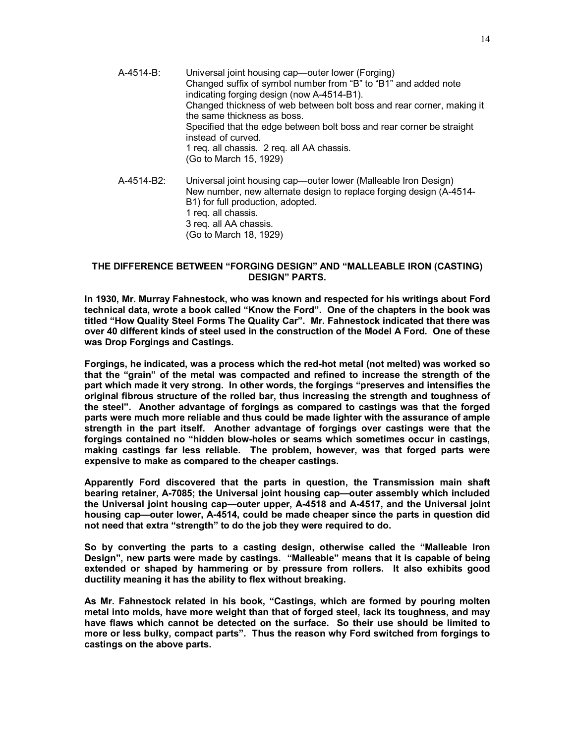- A-4514-B: Universal joint housing cap—outer lower (Forging) Changed suffix of symbol number from "B" to "B1" and added note indicating forging design (now A-4514-B1). Changed thickness of web between bolt boss and rear corner, making it the same thickness as boss. Specified that the edge between bolt boss and rear corner be straight instead of curved. 1 req. all chassis. 2 req. all AA chassis. (Go to March 15, 1929)
- A-4514-B2: Universal joint housing cap—outer lower (Malleable Iron Design) New number, new alternate design to replace forging design (A-4514- B1) for full production, adopted. 1 req. all chassis. 3 req. all AA chassis. (Go to March 18, 1929)

## **THE DIFFERENCE BETWEEN "FORGING DESIGN" AND "MALLEABLE IRON (CASTING) DESIGN" PARTS.**

**In 1930, Mr. Murray Fahnestock, who was known and respected for his writings about Ford technical data, wrote a book called "Know the Ford". One of the chapters in the book was titled "How Quality Steel Forms The Quality Car". Mr. Fahnestock indicated that there was over 40 different kinds of steel used in the construction of the Model A Ford. One of these was Drop Forgings and Castings.** 

**Forgings, he indicated, was a process which the red-hot metal (not melted) was worked so that the "grain" of the metal was compacted and refined to increase the strength of the part which made it very strong. In other words, the forgings "preserves and intensifies the original fibrous structure of the rolled bar, thus increasing the strength and toughness of the steel". Another advantage of forgings as compared to castings was that the forged parts were much more reliable and thus could be made lighter with the assurance of ample strength in the part itself. Another advantage of forgings over castings were that the forgings contained no "hidden blow-holes or seams which sometimes occur in castings, making castings far less reliable. The problem, however, was that forged parts were expensive to make as compared to the cheaper castings.** 

**Apparently Ford discovered that the parts in question, the Transmission main shaft bearing retainer, A-7085; the Universal joint housing cap—outer assembly which included the Universal joint housing cap—outer upper, A-4518 and A-4517, and the Universal joint housing cap—outer lower, A-4514, could be made cheaper since the parts in question did not need that extra "strength" to do the job they were required to do.** 

**So by converting the parts to a casting design, otherwise called the "Malleable Iron Design", new parts were made by castings. "Malleable" means that it is capable of being extended or shaped by hammering or by pressure from rollers. It also exhibits good ductility meaning it has the ability to flex without breaking.** 

**As Mr. Fahnestock related in his book, "Castings, which are formed by pouring molten metal into molds, have more weight than that of forged steel, lack its toughness, and may have flaws which cannot be detected on the surface. So their use should be limited to more or less bulky, compact parts". Thus the reason why Ford switched from forgings to castings on the above parts.**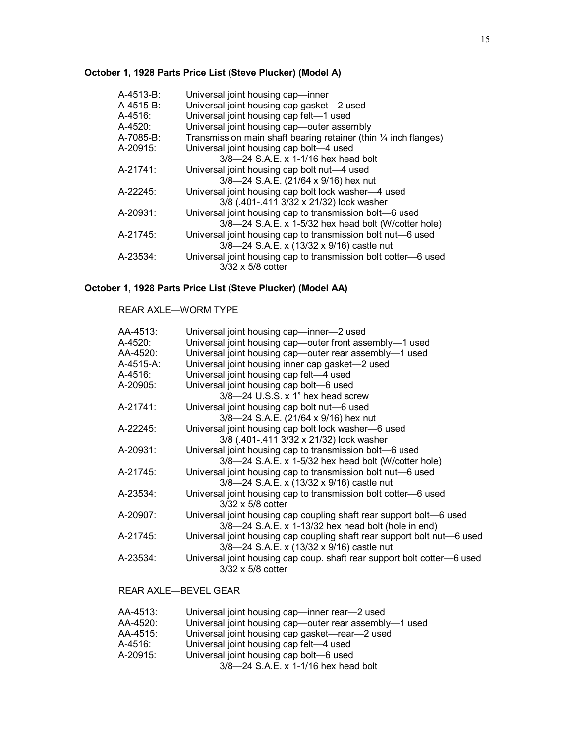# **October 1, 1928 Parts Price List (Steve Plucker) (Model A)**

| A-4513-B:  | Universal joint housing cap-inner                                          |
|------------|----------------------------------------------------------------------------|
| A-4515-B:  | Universal joint housing cap gasket-2 used                                  |
| $A-4516$ : | Universal joint housing cap felt-1 used                                    |
| A-4520:    | Universal joint housing cap-outer assembly                                 |
| A-7085-B:  | Transmission main shaft bearing retainer (thin $\frac{1}{4}$ inch flanges) |
| A-20915:   | Universal joint housing cap bolt-4 used                                    |
|            | 3/8-24 S.A.E. x 1-1/16 hex head bolt                                       |
| A-21741:   | Universal joint housing cap bolt nut-4 used                                |
|            | 3/8-24 S.A.E. (21/64 x 9/16) hex nut                                       |
| A-22245:   | Universal joint housing cap bolt lock washer-4 used                        |
|            | 3/8 (.401-.411 3/32 x 21/32) lock washer                                   |
| A-20931:   | Universal joint housing cap to transmission bolt-6 used                    |
|            | 3/8-24 S.A.E. x 1-5/32 hex head bolt (W/cotter hole)                       |
| A-21745:   | Universal joint housing cap to transmission bolt nut-6 used                |
|            | 3/8-24 S.A.E. x (13/32 x 9/16) castle nut                                  |
| A-23534:   | Universal joint housing cap to transmission bolt cotter-6 used             |
|            | 3/32 x 5/8 cotter                                                          |

# **October 1, 1928 Parts Price List (Steve Plucker) (Model AA)**

## REAR AXLE—WORM TYPE

| AA-4513:  | Universal joint housing cap-inner-2 used                                |
|-----------|-------------------------------------------------------------------------|
| A-4520:   | Universal joint housing cap-outer front assembly-1 used                 |
| AA-4520:  | Universal joint housing cap—outer rear assembly—1 used                  |
| A-4515-A: | Universal joint housing inner cap gasket-2 used                         |
| A-4516:   | Universal joint housing cap felt-4 used                                 |
| A-20905:  | Universal joint housing cap bolt-6 used                                 |
|           | $3/8$ —24 U.S.S. x 1" hex head screw                                    |
| A-21741:  | Universal joint housing cap bolt nut-6 used                             |
|           | 3/8-24 S.A.E. (21/64 x 9/16) hex nut                                    |
| A-22245:  | Universal joint housing cap bolt lock washer-6 used                     |
|           | 3/8 (.401-.411 3/32 x 21/32) lock washer                                |
| A-20931:  | Universal joint housing cap to transmission bolt-6 used                 |
|           | 3/8-24 S.A.E. x 1-5/32 hex head bolt (W/cotter hole)                    |
| A-21745:  | Universal joint housing cap to transmission bolt nut-6 used             |
|           | 3/8-24 S.A.E. x (13/32 x 9/16) castle nut                               |
| A-23534:  | Universal joint housing cap to transmission bolt cotter-6 used          |
|           | $3/32 \times 5/8$ cotter                                                |
| A-20907:  | Universal joint housing cap coupling shaft rear support bolt—6 used     |
|           | 3/8-24 S.A.E. x 1-13/32 hex head bolt (hole in end)                     |
| A-21745:  | Universal joint housing cap coupling shaft rear support bolt nut-6 used |
|           | 3/8-24 S.A.E. x (13/32 x 9/16) castle nut                               |
| A-23534:  | Universal joint housing cap coup. shaft rear support bolt cotter-6 used |
|           | $3/32 \times 5/8$ cotter                                                |
|           |                                                                         |

# REAR AXLE—BEVEL GEAR

| AA-4513: | Universal joint housing cap—inner rear—2 used          |
|----------|--------------------------------------------------------|
| AA-4520: | Universal joint housing cap-outer rear assembly-1 used |
| AA-4515: | Universal joint housing cap gasket—rear—2 used         |
| A-4516:  | Universal joint housing cap felt-4 used                |
| A-20915: | Universal joint housing cap bolt-6 used                |
|          | 3/8-24 S.A.E. x 1-1/16 hex head bolt                   |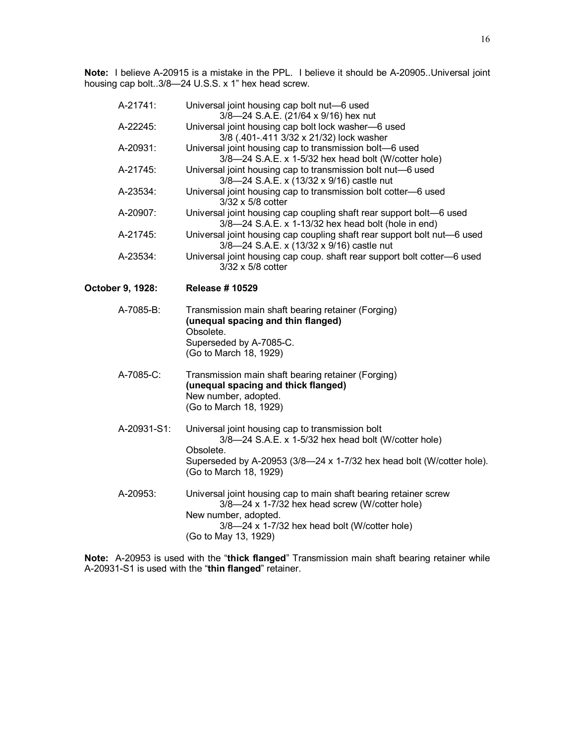**Note:** I believe A-20915 is a mistake in the PPL. I believe it should be A-20905..Universal joint housing cap bolt..3/8—24 U.S.S. x 1" hex head screw.

| A-21741:         | Universal joint housing cap bolt nut-6 used<br>3/8-24 S.A.E. (21/64 x 9/16) hex nut                                                                        |
|------------------|------------------------------------------------------------------------------------------------------------------------------------------------------------|
| A-22245:         | Universal joint housing cap bolt lock washer-6 used<br>3/8 (.401-.411 3/32 x 21/32) lock washer                                                            |
| A-20931:         | Universal joint housing cap to transmission bolt-6 used<br>3/8-24 S.A.E. x 1-5/32 hex head bolt (W/cotter hole)                                            |
| A-21745:         | Universal joint housing cap to transmission bolt nut-6 used<br>3/8-24 S.A.E. x (13/32 x 9/16) castle nut                                                   |
| A-23534:         | Universal joint housing cap to transmission bolt cotter-6 used<br>3/32 x 5/8 cotter                                                                        |
| A-20907:         | Universal joint housing cap coupling shaft rear support bolt-6 used<br>3/8-24 S.A.E. x 1-13/32 hex head bolt (hole in end)                                 |
| A-21745:         | Universal joint housing cap coupling shaft rear support bolt nut-6 used<br>3/8-24 S.A.E. x (13/32 x 9/16) castle nut                                       |
| A-23534:         | Universal joint housing cap coup. shaft rear support bolt cotter-6 used<br>$3/32 \times 5/8$ cotter                                                        |
| October 9, 1928: | <b>Release #10529</b>                                                                                                                                      |
| A-7085-B:        | Transmission main shaft bearing retainer (Forging)<br>(unequal spacing and thin flanged)<br>Obsolete.<br>Superseded by A-7085-C.<br>(Go to March 18, 1929) |
| A-7085-C:        | Transmission main shaft bearing retainer (Forging)<br>(unequal spacing and thick flanged)<br>New number, adopted.<br>(Go to March 18, 1929)                |
| A-20931-S1:      | Universal joint housing cap to transmission bolt<br>3/8-24 S.A.E. x 1-5/32 hex head bolt (W/cotter hole)<br>Obsolete.                                      |
|                  | Superseded by A-20953 (3/8-24 x 1-7/32 hex head bolt (W/cotter hole).<br>(Go to March 18, 1929)                                                            |
|                  |                                                                                                                                                            |
| A-20953:         | Universal joint housing cap to main shaft bearing retainer screw<br>3/8-24 x 1-7/32 hex head screw (W/cotter hole)<br>New number, adopted.                 |

**Note:** A-20953 is used with the "**thick flanged**" Transmission main shaft bearing retainer while A-20931-S1 is used with the "**thin flanged**" retainer.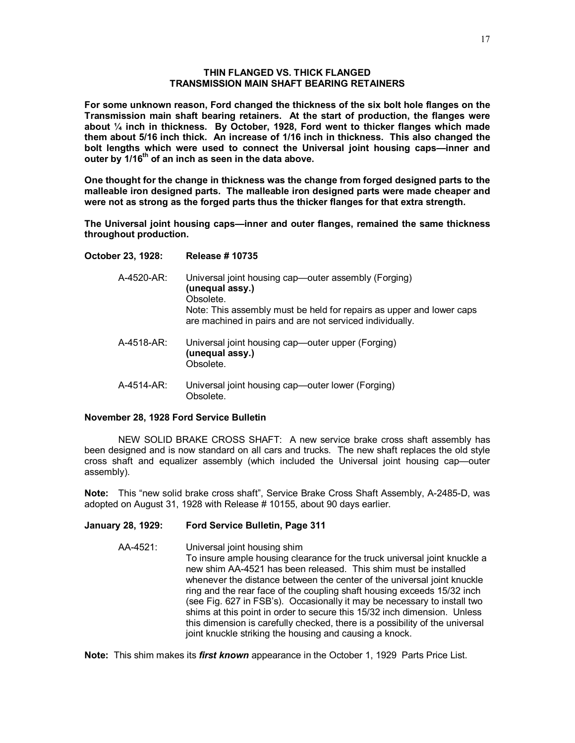### **THIN FLANGED VS. THICK FLANGED TRANSMISSION MAIN SHAFT BEARING RETAINERS**

**For some unknown reason, Ford changed the thickness of the six bolt hole flanges on the Transmission main shaft bearing retainers. At the start of production, the flanges were about ¼ inch in thickness. By October, 1928, Ford went to thicker flanges which made them about 5/16 inch thick. An increase of 1/16 inch in thickness. This also changed the bolt lengths which were used to connect the Universal joint housing caps—inner and outer by 1/16th of an inch as seen in the data above.** 

**One thought for the change in thickness was the change from forged designed parts to the malleable iron designed parts. The malleable iron designed parts were made cheaper and were not as strong as the forged parts thus the thicker flanges for that extra strength.** 

**The Universal joint housing caps—inner and outer flanges, remained the same thickness throughout production.** 

### **October 23, 1928: Release # 10735**

| A-4520-AR: | Universal joint housing cap—outer assembly (Forging)<br>(unequal assy.)<br>Obsolete.<br>Note: This assembly must be held for repairs as upper and lower caps<br>are machined in pairs and are not serviced individually. |
|------------|--------------------------------------------------------------------------------------------------------------------------------------------------------------------------------------------------------------------------|
| A-4518-AR: | Universal joint housing cap—outer upper (Forging)<br>(unequal assy.)<br>Obsolete.                                                                                                                                        |
| A-4514-AR: | Universal joint housing cap—outer lower (Forging)<br>Obsolete                                                                                                                                                            |

### **November 28, 1928 Ford Service Bulletin**

NEW SOLID BRAKE CROSS SHAFT: A new service brake cross shaft assembly has been designed and is now standard on all cars and trucks. The new shaft replaces the old style cross shaft and equalizer assembly (which included the Universal joint housing cap—outer assembly).

**Note:** This "new solid brake cross shaft", Service Brake Cross Shaft Assembly, A-2485-D, was adopted on August 31, 1928 with Release # 10155, about 90 days earlier.

# **January 28, 1929: Ford Service Bulletin, Page 311**

AA-4521: Universal joint housing shim To insure ample housing clearance for the truck universal joint knuckle a new shim AA-4521 has been released. This shim must be installed whenever the distance between the center of the universal joint knuckle ring and the rear face of the coupling shaft housing exceeds 15/32 inch (see Fig. 627 in FSB's). Occasionally it may be necessary to install two shims at this point in order to secure this 15/32 inch dimension. Unless this dimension is carefully checked, there is a possibility of the universal joint knuckle striking the housing and causing a knock.

**Note:** This shim makes its *first known* appearance in the October 1, 1929 Parts Price List.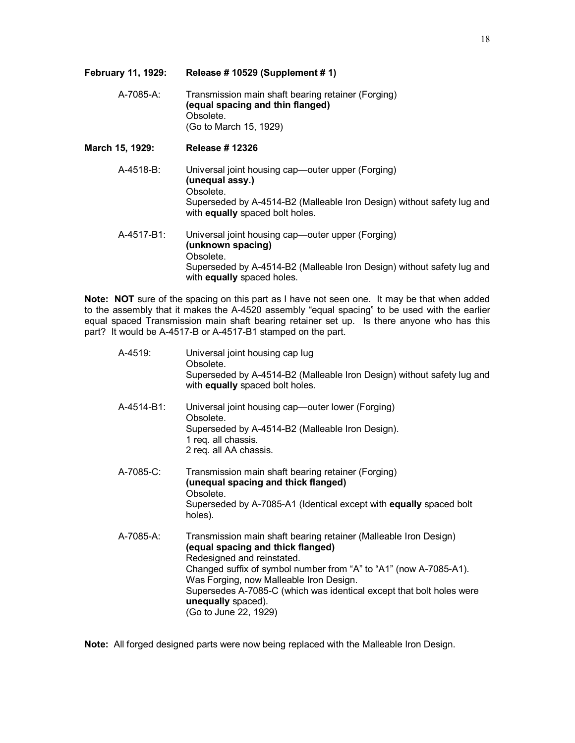| February 11, 1929: | Release #10529 (Supplement #1)                                                                                                                                                                 |
|--------------------|------------------------------------------------------------------------------------------------------------------------------------------------------------------------------------------------|
| A-7085-A:          | Transmission main shaft bearing retainer (Forging)<br>(equal spacing and thin flanged)<br>Obsolete.<br>(Go to March 15, 1929)                                                                  |
| March 15, 1929:    | <b>Release #12326</b>                                                                                                                                                                          |
| A-4518-B:          | Universal joint housing cap—outer upper (Forging)<br>(unequal assy.)<br>Obsolete.<br>Superseded by A-4514-B2 (Malleable Iron Design) without safety lug and<br>with equally spaced bolt holes. |
| A-4517-B1:         | Universal joint housing cap—outer upper (Forging)<br>(unknown spacing)<br>Obsolete.<br>Superseded by A-4514-B2 (Malleable Iron Design) without safety lug and<br>with equally spaced holes.    |

**Note: NOT** sure of the spacing on this part as I have not seen one. It may be that when added to the assembly that it makes the A-4520 assembly "equal spacing" to be used with the earlier equal spaced Transmission main shaft bearing retainer set up. Is there anyone who has this part? It would be A-4517-B or A-4517-B1 stamped on the part.

| A-4519:    | Universal joint housing cap lug<br>Obsolete.<br>Superseded by A-4514-B2 (Malleable Iron Design) without safety lug and<br>with equally spaced bolt holes.                                                                                                                                                                                                                  |
|------------|----------------------------------------------------------------------------------------------------------------------------------------------------------------------------------------------------------------------------------------------------------------------------------------------------------------------------------------------------------------------------|
| A-4514-B1: | Universal joint housing cap—outer lower (Forging)<br>Obsolete.<br>Superseded by A-4514-B2 (Malleable Iron Design).<br>1 req. all chassis.<br>2 req. all AA chassis.                                                                                                                                                                                                        |
| A-7085-C:  | Transmission main shaft bearing retainer (Forging)<br>(unequal spacing and thick flanged)<br>Obsolete.<br>Superseded by A-7085-A1 (Identical except with equally spaced bolt<br>holes).                                                                                                                                                                                    |
| A-7085-A:  | Transmission main shaft bearing retainer (Malleable Iron Design)<br>(equal spacing and thick flanged)<br>Redesigned and reinstated.<br>Changed suffix of symbol number from "A" to "A1" (now A-7085-A1).<br>Was Forging, now Malleable Iron Design.<br>Supersedes A-7085-C (which was identical except that bolt holes were<br>unequally spaced).<br>(Go to June 22, 1929) |

**Note:** All forged designed parts were now being replaced with the Malleable Iron Design.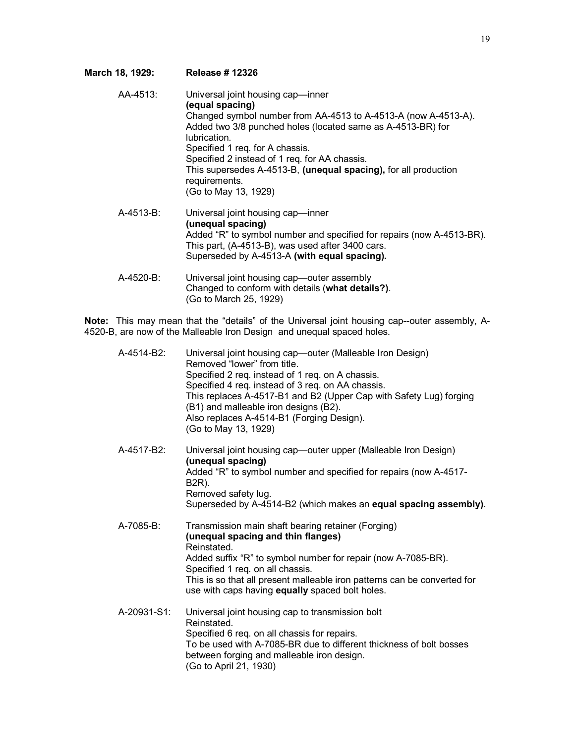# **March 18, 1929: Release # 12326**

| AA-4513:     | Universal joint housing cap-inner<br>(equal spacing)<br>Changed symbol number from AA-4513 to A-4513-A (now A-4513-A).<br>Added two 3/8 punched holes (located same as A-4513-BR) for<br>lubrication.<br>Specified 1 req. for A chassis.<br>Specified 2 instead of 1 req. for AA chassis.<br>This supersedes A-4513-B, (unequal spacing), for all production<br>requirements.<br>(Go to May 13, 1929) |
|--------------|-------------------------------------------------------------------------------------------------------------------------------------------------------------------------------------------------------------------------------------------------------------------------------------------------------------------------------------------------------------------------------------------------------|
| $A-4513-B$ : | Universal joint housing cap-inner<br>(unequal spacing)<br>Added "R" to symbol number and specified for repairs (now A-4513-BR).<br>This part, (A-4513-B), was used after 3400 cars.<br>Superseded by A-4513-A (with equal spacing).                                                                                                                                                                   |
| A-4520-B:    | Universal joint housing cap-outer assembly<br>Changed to conform with details (what details?).<br>(Go to March 25, 1929)                                                                                                                                                                                                                                                                              |

**Note:** This may mean that the "details" of the Universal joint housing cap--outer assembly, A-4520-B, are now of the Malleable Iron Design and unequal spaced holes.

| A-4514-B2:  | Universal joint housing cap-outer (Malleable Iron Design)<br>Removed "lower" from title.<br>Specified 2 req. instead of 1 req. on A chassis.<br>Specified 4 req. instead of 3 req. on AA chassis.<br>This replaces A-4517-B1 and B2 (Upper Cap with Safety Lug) forging<br>(B1) and malleable iron designs (B2).<br>Also replaces A-4514-B1 (Forging Design).<br>(Go to May 13, 1929) |
|-------------|---------------------------------------------------------------------------------------------------------------------------------------------------------------------------------------------------------------------------------------------------------------------------------------------------------------------------------------------------------------------------------------|
| A-4517-B2:  | Universal joint housing cap—outer upper (Malleable Iron Design)<br>(unequal spacing)<br>Added "R" to symbol number and specified for repairs (now A-4517-<br>B2R).<br>Removed safety lug.<br>Superseded by A-4514-B2 (which makes an equal spacing assembly).                                                                                                                         |
| A-7085-B:   | Transmission main shaft bearing retainer (Forging)<br>(unequal spacing and thin flanges)<br>Reinstated.<br>Added suffix "R" to symbol number for repair (now A-7085-BR).<br>Specified 1 req. on all chassis.<br>This is so that all present malleable iron patterns can be converted for<br>use with caps having equally spaced bolt holes.                                           |
| A-20931-S1: | Universal joint housing cap to transmission bolt<br>Reinstated.<br>Specified 6 req. on all chassis for repairs.<br>To be used with A-7085-BR due to different thickness of bolt bosses<br>between forging and malleable iron design.<br>(Go to April 21, 1930)                                                                                                                        |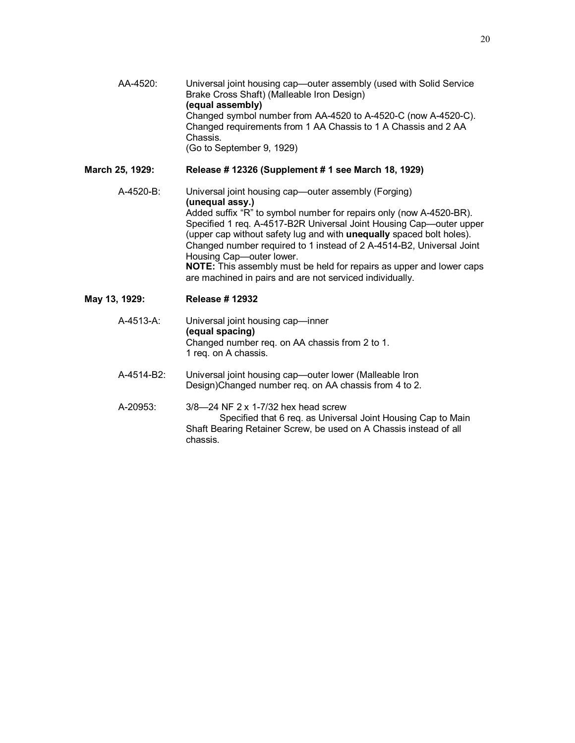AA-4520: Universal joint housing cap—outer assembly (used with Solid Service Brake Cross Shaft) (Malleable Iron Design) **(equal assembly)**  Changed symbol number from AA-4520 to A-4520-C (now A-4520-C). Changed requirements from 1 AA Chassis to 1 A Chassis and 2 AA Chassis. (Go to September 9, 1929)

## **March 25, 1929: Release # 12326 (Supplement # 1 see March 18, 1929)**

A-4520-B: Universal joint housing cap—outer assembly (Forging) **(unequal assy.)**  Added suffix "R" to symbol number for repairs only (now A-4520-BR). Specified 1 req. A-4517-B2R Universal Joint Housing Cap—outer upper (upper cap without safety lug and with **unequally** spaced bolt holes). Changed number required to 1 instead of 2 A-4514-B2, Universal Joint Housing Cap—outer lower. **NOTE:** This assembly must be held for repairs as upper and lower caps are machined in pairs and are not serviced individually.

- **May 13, 1929: Release # 12932** 
	- A-4513-A: Universal joint housing cap—inner **(equal spacing)** Changed number req. on AA chassis from 2 to 1. 1 req. on A chassis.
	- A-4514-B2: Universal joint housing cap—outer lower (Malleable Iron Design)Changed number req. on AA chassis from 4 to 2.
	- A-20953: 3/8—24 NF 2 x 1-7/32 hex head screw Specified that 6 req. as Universal Joint Housing Cap to Main Shaft Bearing Retainer Screw, be used on A Chassis instead of all chassis.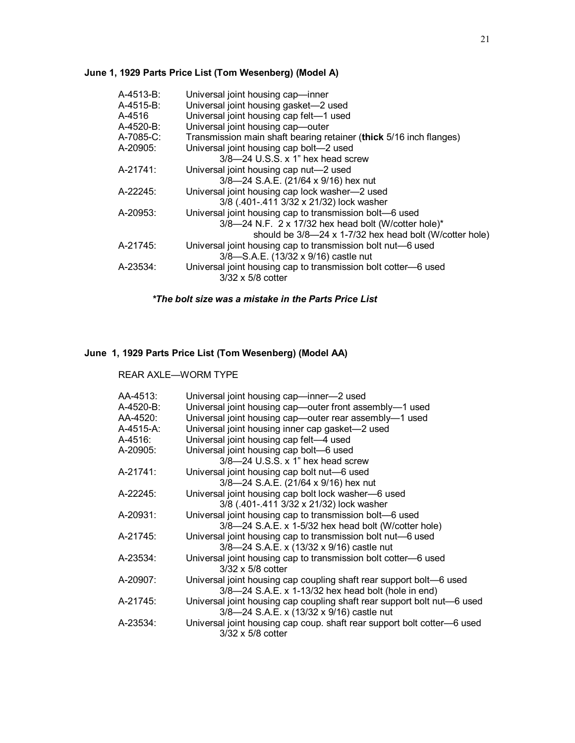# **June 1, 1929 Parts Price List (Tom Wesenberg) (Model A)**

| A-4513-B:    | Universal joint housing cap-inner                                  |
|--------------|--------------------------------------------------------------------|
| A-4515-B:    | Universal joint housing gasket-2 used                              |
| A-4516       | Universal joint housing cap felt-1 used                            |
| $A-4520-B$ : | Universal joint housing cap-outer                                  |
| A-7085-C:    | Transmission main shaft bearing retainer (thick 5/16 inch flanges) |
| A-20905:     | Universal joint housing cap bolt-2 used                            |
|              | $3/8$ —24 U.S.S. x 1" hex head screw                               |
| A-21741:     | Universal joint housing cap nut-2 used                             |
|              | 3/8-24 S.A.E. (21/64 x 9/16) hex nut                               |
| A-22245:     | Universal joint housing cap lock washer-2 used                     |
|              | 3/8 (.401-.411 3/32 x 21/32) lock washer                           |
| A-20953:     | Universal joint housing cap to transmission bolt-6 used            |
|              | $3/8$ —24 N.F. 2 x 17/32 hex head bolt (W/cotter hole)*            |
|              | should be 3/8-24 x 1-7/32 hex head bolt (W/cotter hole)            |
| A-21745:     | Universal joint housing cap to transmission bolt nut-6 used        |
|              | 3/8-S.A.E. (13/32 x 9/16) castle nut                               |
| A-23534:     | Universal joint housing cap to transmission bolt cotter-6 used     |
|              | $3/32 \times 5/8$ cotter                                           |

*\*The bolt size was a mistake in the Parts Price List*

# **June 1, 1929 Parts Price List (Tom Wesenberg) (Model AA)**

REAR AXLE—WORM TYPE

| AA-4513:  | Universal joint housing cap-inner-2 used                                |
|-----------|-------------------------------------------------------------------------|
| A-4520-B: | Universal joint housing cap-outer front assembly-1 used                 |
| AA-4520:  | Universal joint housing cap-outer rear assembly-1 used                  |
| A-4515-A: | Universal joint housing inner cap gasket-2 used                         |
| A-4516:   | Universal joint housing cap felt-4 used                                 |
| A-20905:  | Universal joint housing cap bolt-6 used                                 |
|           | $3/8$ —24 U.S.S. x 1" hex head screw                                    |
| A-21741:  | Universal joint housing cap bolt nut-6 used                             |
|           | 3/8-24 S.A.E. (21/64 x 9/16) hex nut                                    |
| A-22245:  | Universal joint housing cap bolt lock washer-6 used                     |
|           | 3/8 (.401-.411 3/32 x 21/32) lock washer                                |
| A-20931:  | Universal joint housing cap to transmission bolt-6 used                 |
|           | 3/8-24 S.A.E. x 1-5/32 hex head bolt (W/cotter hole)                    |
| A-21745:  | Universal joint housing cap to transmission bolt nut-6 used             |
|           | 3/8-24 S.A.E. x (13/32 x 9/16) castle nut                               |
| A-23534:  | Universal joint housing cap to transmission bolt cotter-6 used          |
|           | $3/32 \times 5/8$ cotter                                                |
| A-20907:  | Universal joint housing cap coupling shaft rear support bolt-6 used     |
|           | 3/8-24 S.A.E. x 1-13/32 hex head bolt (hole in end)                     |
| A-21745:  | Universal joint housing cap coupling shaft rear support bolt nut-6 used |
|           | 3/8-24 S.A.E. x (13/32 x 9/16) castle nut                               |
| A-23534:  | Universal joint housing cap coup. shaft rear support bolt cotter-6 used |
|           | $3/32 \times 5/8$ cotter                                                |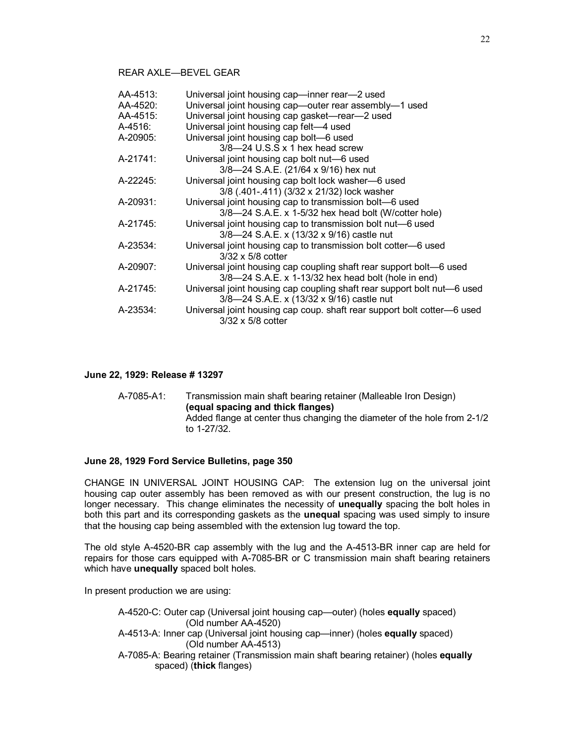# REAR AXLE—BEVEL GEAR

| AA-4513: | Universal joint housing cap-inner rear-2 used                           |
|----------|-------------------------------------------------------------------------|
| AA-4520: | Universal joint housing cap-outer rear assembly-1 used                  |
| AA-4515: | Universal joint housing cap gasket-rear-2 used                          |
| A-4516:  | Universal joint housing cap felt-4 used                                 |
| A-20905: | Universal joint housing cap bolt-6 used                                 |
|          | $3/8$ —24 U.S.S x 1 hex head screw                                      |
| A-21741: | Universal joint housing cap bolt nut-6 used                             |
|          | 3/8-24 S.A.E. (21/64 x 9/16) hex nut                                    |
| A-22245: | Universal joint housing cap bolt lock washer-6 used                     |
|          | 3/8 (.401-.411) (3/32 x 21/32) lock washer                              |
| A-20931: | Universal joint housing cap to transmission bolt-6 used                 |
|          | 3/8-24 S.A.E. x 1-5/32 hex head bolt (W/cotter hole)                    |
| A-21745: | Universal joint housing cap to transmission bolt nut-6 used             |
|          | 3/8-24 S.A.E. x (13/32 x 9/16) castle nut                               |
| A-23534: | Universal joint housing cap to transmission bolt cotter-6 used          |
|          | $3/32 \times 5/8$ cotter                                                |
| A-20907: | Universal joint housing cap coupling shaft rear support bolt—6 used     |
|          | 3/8-24 S.A.E. x 1-13/32 hex head bolt (hole in end)                     |
| A-21745: | Universal joint housing cap coupling shaft rear support bolt nut-6 used |
|          | 3/8-24 S.A.E. x (13/32 x 9/16) castle nut                               |
| A-23534: | Universal joint housing cap coup. shaft rear support bolt cotter-6 used |
|          | $3/32 \times 5/8$ cotter                                                |
|          |                                                                         |

## **June 22, 1929: Release # 13297**

| A-7085-A1: | Transmission main shaft bearing retainer (Malleable Iron Design)         |
|------------|--------------------------------------------------------------------------|
|            | (equal spacing and thick flanges)                                        |
|            | Added flange at center thus changing the diameter of the hole from 2-1/2 |
|            | to 1-27/32.                                                              |

### **June 28, 1929 Ford Service Bulletins, page 350**

CHANGE IN UNIVERSAL JOINT HOUSING CAP: The extension lug on the universal joint housing cap outer assembly has been removed as with our present construction, the lug is no longer necessary. This change eliminates the necessity of **unequally** spacing the bolt holes in both this part and its corresponding gaskets as the **unequal** spacing was used simply to insure that the housing cap being assembled with the extension lug toward the top.

The old style A-4520-BR cap assembly with the lug and the A-4513-BR inner cap are held for repairs for those cars equipped with A-7085-BR or C transmission main shaft bearing retainers which have **unequally** spaced bolt holes.

In present production we are using:

A-4520-C: Outer cap (Universal joint housing cap—outer) (holes **equally** spaced) (Old number AA-4520) A-4513-A: Inner cap (Universal joint housing cap—inner) (holes **equally** spaced) (Old number AA-4513) A-7085-A: Bearing retainer (Transmission main shaft bearing retainer) (holes **equally** spaced) (**thick** flanges)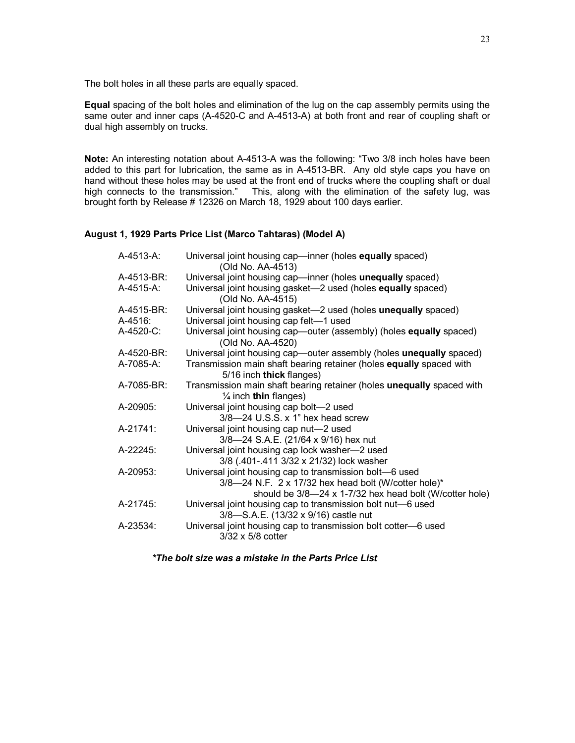The bolt holes in all these parts are equally spaced.

**Equal** spacing of the bolt holes and elimination of the lug on the cap assembly permits using the same outer and inner caps (A-4520-C and A-4513-A) at both front and rear of coupling shaft or dual high assembly on trucks.

**Note:** An interesting notation about A-4513-A was the following: "Two 3/8 inch holes have been added to this part for lubrication, the same as in A-4513-BR. Any old style caps you have on hand without these holes may be used at the front end of trucks where the coupling shaft or dual high connects to the transmission." This, along with the elimination of the safety lug, was brought forth by Release # 12326 on March 18, 1929 about 100 days earlier.

# **August 1, 1929 Parts Price List (Marco Tahtaras) (Model A)**

| A-4513-A:  | Universal joint housing cap—inner (holes equally spaced)<br>(Old No. AA-4513)                                                                                              |
|------------|----------------------------------------------------------------------------------------------------------------------------------------------------------------------------|
| A-4513-BR: | Universal joint housing cap-inner (holes unequally spaced)                                                                                                                 |
| A-4515-A:  | Universal joint housing gasket—2 used (holes equally spaced)<br>(Old No. AA-4515)                                                                                          |
| A-4515-BR: | Universal joint housing gasket-2 used (holes unequally spaced)                                                                                                             |
| A-4516:    | Universal joint housing cap felt-1 used                                                                                                                                    |
| A-4520-C:  | Universal joint housing cap—outer (assembly) (holes <b>equally</b> spaced)<br>(Old No. AA-4520)                                                                            |
| A-4520-BR: | Universal joint housing cap-outer assembly (holes unequally spaced)                                                                                                        |
| A-7085-A:  | Transmission main shaft bearing retainer (holes equally spaced with<br>5/16 inch thick flanges)                                                                            |
| A-7085-BR: | Transmission main shaft bearing retainer (holes unequally spaced with<br>$\frac{1}{4}$ inch thin flanges)                                                                  |
| A-20905:   | Universal joint housing cap bolt-2 used<br>3/8-24 U.S.S. x 1" hex head screw                                                                                               |
| A-21741:   | Universal joint housing cap nut-2 used<br>3/8-24 S.A.E. (21/64 x 9/16) hex nut                                                                                             |
| A-22245:   | Universal joint housing cap lock washer-2 used<br>3/8 (.401-.411 3/32 x 21/32) lock washer                                                                                 |
| A-20953:   | Universal joint housing cap to transmission bolt-6 used<br>3/8-24 N.F. 2 x 17/32 hex head bolt (W/cotter hole)*<br>should be 3/8-24 x 1-7/32 hex head bolt (W/cotter hole) |
| A-21745:   | Universal joint housing cap to transmission bolt nut-6 used<br>3/8-S.A.E. (13/32 x 9/16) castle nut                                                                        |
| A-23534:   | Universal joint housing cap to transmission bolt cotter-6 used<br>3/32 x 5/8 cotter                                                                                        |

*\*The bolt size was a mistake in the Parts Price List*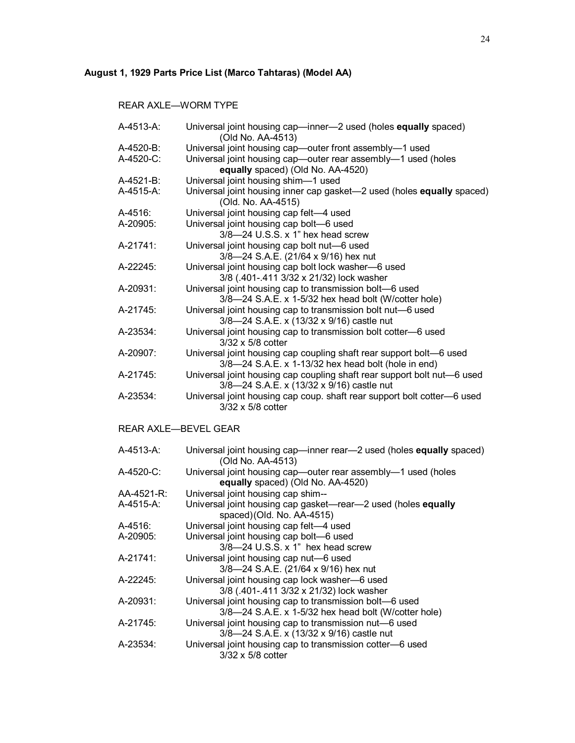# **August 1, 1929 Parts Price List (Marco Tahtaras) (Model AA)**

REAR AXLE—WORM TYPE

| A-4513-A:  | Universal joint housing cap-inner-2 used (holes equally spaced)<br>(Old No. AA-4513) |
|------------|--------------------------------------------------------------------------------------|
| A-4520-B:  | Universal joint housing cap-outer front assembly-1 used                              |
| A-4520-C:  | Universal joint housing cap-outer rear assembly-1 used (holes                        |
|            | equally spaced) (Old No. AA-4520)                                                    |
| A-4521-B:  | Universal joint housing shim-1 used                                                  |
| A-4515-A:  | Universal joint housing inner cap gasket-2 used (holes equally spaced)               |
|            | (Old. No. AA-4515)                                                                   |
| A-4516:    | Universal joint housing cap felt-4 used                                              |
| A-20905:   | Universal joint housing cap bolt-6 used                                              |
|            | $3/8$ -24 U.S.S. x 1" hex head screw                                                 |
| A-21741:   | Universal joint housing cap bolt nut-6 used                                          |
|            | 3/8-24 S.A.E. (21/64 x 9/16) hex nut                                                 |
| A-22245:   | Universal joint housing cap bolt lock washer-6 used                                  |
|            | 3/8 (.401-.411 3/32 x 21/32) lock washer                                             |
| A-20931:   | Universal joint housing cap to transmission bolt-6 used                              |
|            | 3/8-24 S.A.E. x 1-5/32 hex head bolt (W/cotter hole)                                 |
| A-21745:   | Universal joint housing cap to transmission bolt nut-6 used                          |
|            | 3/8-24 S.A.E. x (13/32 x 9/16) castle nut                                            |
| A-23534:   | Universal joint housing cap to transmission bolt cotter-6 used                       |
|            | 3/32 x 5/8 cotter                                                                    |
| A-20907:   | Universal joint housing cap coupling shaft rear support bolt-6 used                  |
|            | 3/8-24 S.A.E. x 1-13/32 hex head bolt (hole in end)                                  |
| A-21745:   | Universal joint housing cap coupling shaft rear support bolt nut-6 used              |
|            | 3/8-24 S.A.E. x (13/32 x 9/16) castle nut                                            |
| A-23534:   | Universal joint housing cap coup. shaft rear support bolt cotter-6 used              |
|            | 3/32 x 5/8 cotter                                                                    |
|            |                                                                                      |
|            | <b>REAR AXLE-BEVEL GEAR</b>                                                          |
|            |                                                                                      |
| A-4513-A:  | Universal joint housing cap-inner rear-2 used (holes equally spaced)                 |
|            | (Old No. AA-4513)                                                                    |
| A-4520-C:  | Universal joint housing cap-outer rear assembly-1 used (holes                        |
|            | equally spaced) (Old No. AA-4520)                                                    |
| AA-4521-R: | Universal joint housing cap shim--                                                   |
| A-4515-A:  | Universal joint housing cap gasket-rear-2 used (holes equally                        |
|            | spaced)(Old. No. AA-4515)                                                            |
| A-4516:    | Universal joint housing cap felt-4 used                                              |
| A-20905:   | Universal joint housing cap bolt-6 used                                              |
|            | 3/8-24 U.S.S. x 1" hex head screw                                                    |
| A-21741:   | Universal joint housing cap nut-6 used                                               |
|            | 3/8-24 S.A.E. (21/64 x 9/16) hex nut                                                 |
| A-22245:   | Universal joint housing cap lock washer-6 used                                       |
|            | 3/8 (.401-.411 3/32 x 21/32) lock washer                                             |
| A-20931:   | Universal joint housing cap to transmission bolt-6 used                              |
|            | 3/8-24 S.A.E. x 1-5/32 hex head bolt (W/cotter hole)                                 |
| A-21745:   | Universal joint housing cap to transmission nut-6 used                               |
|            | 3/8-24 S.A.E. x (13/32 x 9/16) castle nut                                            |
| A-23534:   | Universal joint housing cap to transmission cotter-6 used                            |
|            | 3/32 x 5/8 cotter                                                                    |
|            |                                                                                      |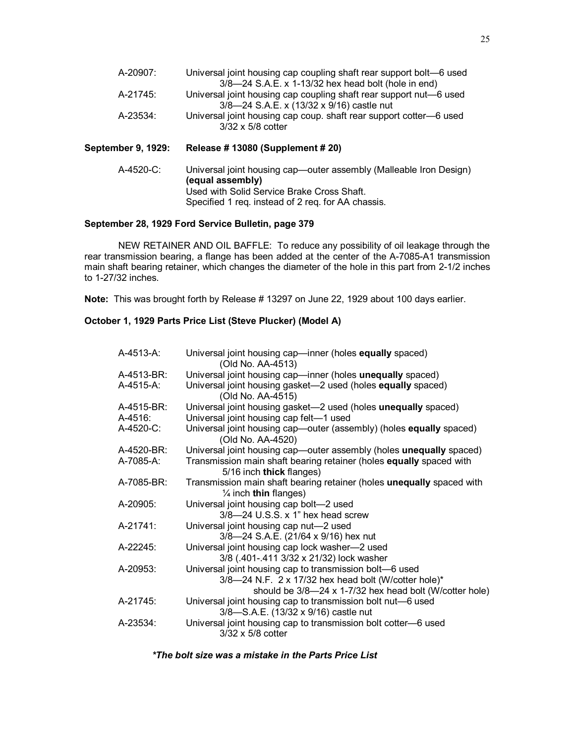| A-20907: | Universal joint housing cap coupling shaft rear support bolt—6 used |
|----------|---------------------------------------------------------------------|
|          | 3/8-24 S.A.E. x 1-13/32 hex head bolt (hole in end)                 |
| A-21745: | Universal joint housing cap coupling shaft rear support nut-6 used  |
|          | 3/8-24 S.A.E. x (13/32 x 9/16) castle nut                           |
| A-23534: | Universal joint housing cap coup. shaft rear support cotter-6 used  |
|          | $3/32 \times 5/8$ cotter                                            |

### **September 9, 1929: Release # 13080 (Supplement # 20)**

A-4520-C: Universal joint housing cap—outer assembly (Malleable Iron Design) **(equal assembly)**  Used with Solid Service Brake Cross Shaft. Specified 1 req. instead of 2 req. for AA chassis.

# **September 28, 1929 Ford Service Bulletin, page 379**

NEW RETAINER AND OIL BAFFLE: To reduce any possibility of oil leakage through the rear transmission bearing, a flange has been added at the center of the A-7085-A1 transmission main shaft bearing retainer, which changes the diameter of the hole in this part from 2-1/2 inches to 1-27/32 inches.

**Note:** This was brought forth by Release # 13297 on June 22, 1929 about 100 days earlier.

# **October 1, 1929 Parts Price List (Steve Plucker) (Model A)**

| $A-4513-A$ : | Universal joint housing cap—inner (holes equally spaced)<br>(Old No. AA-4513)                                                                                              |
|--------------|----------------------------------------------------------------------------------------------------------------------------------------------------------------------------|
| A-4513-BR:   | Universal joint housing cap—inner (holes unequally spaced)                                                                                                                 |
| A-4515-A:    | Universal joint housing gasket-2 used (holes equally spaced)<br>(Old No. AA-4515)                                                                                          |
| A-4515-BR:   | Universal joint housing gasket-2 used (holes unequally spaced)                                                                                                             |
| A-4516:      | Universal joint housing cap felt-1 used                                                                                                                                    |
| A-4520-C:    | Universal joint housing cap—outer (assembly) (holes equally spaced)<br>(Old No. AA-4520)                                                                                   |
| A-4520-BR:   | Universal joint housing cap—outer assembly (holes unequally spaced)                                                                                                        |
| A-7085-A:    | Transmission main shaft bearing retainer (holes equally spaced with<br>5/16 inch thick flanges)                                                                            |
| A-7085-BR:   | Transmission main shaft bearing retainer (holes unequally spaced with<br>$\frac{1}{4}$ inch thin flanges)                                                                  |
| A-20905:     | Universal joint housing cap bolt-2 used<br>$3/8$ —24 U.S.S. x 1" hex head screw                                                                                            |
| A-21741:     | Universal joint housing cap nut-2 used<br>3/8-24 S.A.E. (21/64 x 9/16) hex nut                                                                                             |
| A-22245:     | Universal joint housing cap lock washer-2 used<br>3/8 (.401-.411 3/32 x 21/32) lock washer                                                                                 |
| A-20953:     | Universal joint housing cap to transmission bolt-6 used<br>3/8-24 N.F. 2 x 17/32 hex head bolt (W/cotter hole)*<br>should be 3/8-24 x 1-7/32 hex head bolt (W/cotter hole) |
| A-21745:     | Universal joint housing cap to transmission bolt nut-6 used<br>3/8-S.A.E. (13/32 x 9/16) castle nut                                                                        |
| A-23534:     | Universal joint housing cap to transmission bolt cotter-6 used<br>$3/32 \times 5/8$ cotter                                                                                 |

*\*The bolt size was a mistake in the Parts Price List*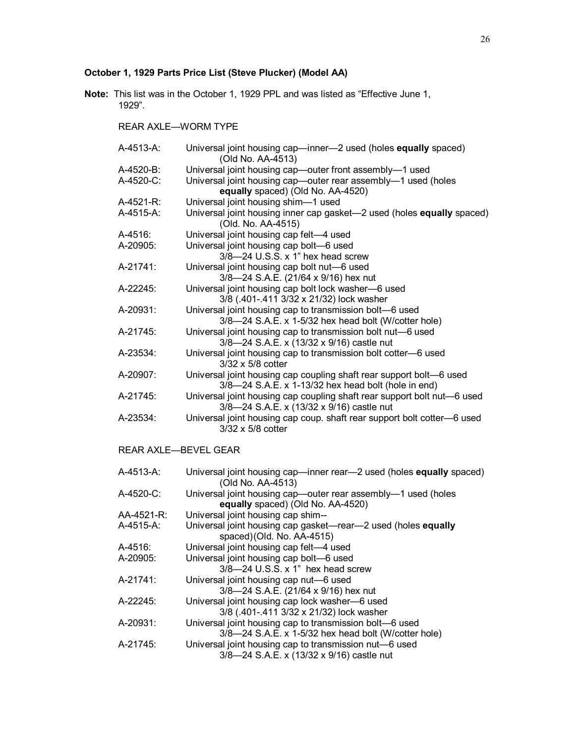# **October 1, 1929 Parts Price List (Steve Plucker) (Model AA)**

**Note:** This list was in the October 1, 1929 PPL and was listed as "Effective June 1, 1929".

REAR AXLE—WORM TYPE

| A-4513-A: | Universal joint housing cap-inner-2 used (holes equally spaced)<br>(Old No. AA-4513)               |
|-----------|----------------------------------------------------------------------------------------------------|
| A-4520-B: | Universal joint housing cap-outer front assembly-1 used                                            |
| A-4520-C: | Universal joint housing cap-outer rear assembly-1 used (holes<br>equally spaced) (Old No. AA-4520) |
| A-4521-R: | Universal joint housing shim-1 used                                                                |
| A-4515-A: | Universal joint housing inner cap gasket—2 used (holes <b>equally</b> spaced)                      |
|           | (Old. No. AA-4515)                                                                                 |
| A-4516:   | Universal joint housing cap felt-4 used                                                            |
| A-20905:  | Universal joint housing cap bolt-6 used                                                            |
|           | $3/8$ —24 U.S.S. x 1" hex head screw                                                               |
| A-21741:  | Universal joint housing cap bolt nut-6 used                                                        |
|           | 3/8-24 S.A.E. (21/64 x 9/16) hex nut                                                               |
| A-22245:  | Universal joint housing cap bolt lock washer-6 used                                                |
|           | 3/8 (.401-.411 3/32 x 21/32) lock washer                                                           |
| A-20931:  | Universal joint housing cap to transmission bolt-6 used                                            |
|           | 3/8-24 S.A.E. x 1-5/32 hex head bolt (W/cotter hole)                                               |
| A-21745:  | Universal joint housing cap to transmission bolt nut-6 used                                        |
|           | 3/8-24 S.A.E. x (13/32 x 9/16) castle nut                                                          |
| A-23534:  | Universal joint housing cap to transmission bolt cotter-6 used                                     |
|           | $3/32 \times 5/8$ cotter                                                                           |
| A-20907:  | Universal joint housing cap coupling shaft rear support bolt-6 used                                |
|           | 3/8-24 S.A.E. x 1-13/32 hex head bolt (hole in end)                                                |
| A-21745:  | Universal joint housing cap coupling shaft rear support bolt nut-6 used                            |
|           | 3/8-24 S.A.E. x (13/32 x 9/16) castle nut                                                          |
| A-23534:  | Universal joint housing cap coup. shaft rear support bolt cotter-6 used                            |
|           | $3/32 \times 5/8$ cotter                                                                           |

# REAR AXLE—BEVEL GEAR

| A-4513-A:  | Universal joint housing cap-inner rear-2 used (holes equally spaced) |
|------------|----------------------------------------------------------------------|
|            | (Old No. AA-4513)                                                    |
| $A-4520-C$ | Universal joint housing cap-outer rear assembly-1 used (holes        |
|            | equally spaced) (Old No. AA-4520)                                    |
| AA-4521-R: | Universal joint housing cap shim--                                   |
| A-4515-A:  | Universal joint housing cap gasket—rear—2 used (holes equally        |
|            | spaced)(Old. No. AA-4515)                                            |
| A-4516:    | Universal joint housing cap felt-4 used                              |
| A-20905:   | Universal joint housing cap bolt-6 used                              |
|            | $3/8$ —24 U.S.S. x 1" hex head screw                                 |
| A-21741:   | Universal joint housing cap nut-6 used                               |
|            | 3/8-24 S.A.E. (21/64 x 9/16) hex nut                                 |
| A-22245:   | Universal joint housing cap lock washer-6 used                       |
|            | 3/8 (.401-.411 3/32 x 21/32) lock washer                             |
| A-20931:   | Universal joint housing cap to transmission bolt—6 used              |
|            | 3/8-24 S.A.E. x 1-5/32 hex head bolt (W/cotter hole)                 |
| A-21745:   | Universal joint housing cap to transmission nut—6 used               |
|            | 3/8-24 S.A.E. x (13/32 x 9/16) castle nut                            |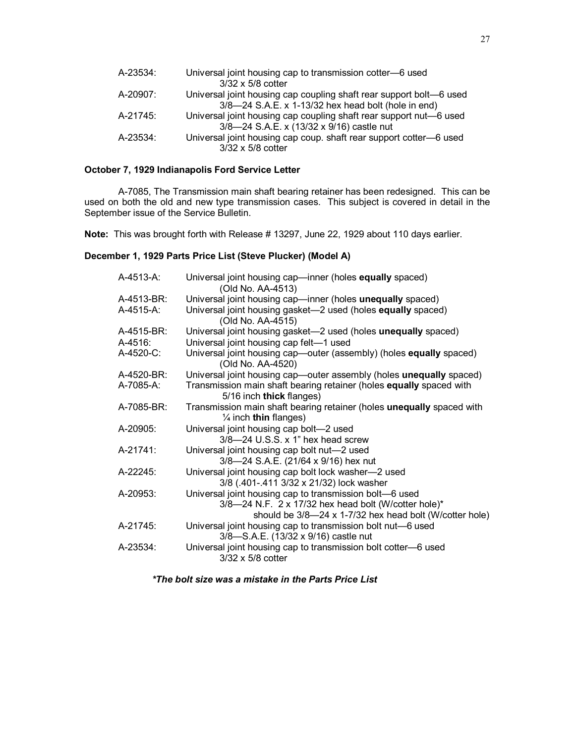| A-23534: | Universal joint housing cap to transmission cotter-6 used           |
|----------|---------------------------------------------------------------------|
|          | $3/32 \times 5/8$ cotter                                            |
| A-20907: | Universal joint housing cap coupling shaft rear support bolt—6 used |
|          | 3/8-24 S.A.E. x 1-13/32 hex head bolt (hole in end)                 |
| A-21745: | Universal joint housing cap coupling shaft rear support nut-6 used  |
|          | 3/8-24 S.A.E. x (13/32 x 9/16) castle nut                           |
| A-23534: | Universal joint housing cap coup. shaft rear support cotter-6 used  |
|          | $3/32 \times 5/8$ cotter                                            |

## **October 7, 1929 Indianapolis Ford Service Letter**

A-7085, The Transmission main shaft bearing retainer has been redesigned. This can be used on both the old and new type transmission cases. This subject is covered in detail in the September issue of the Service Bulletin.

**Note:** This was brought forth with Release # 13297, June 22, 1929 about 110 days earlier.

## **December 1, 1929 Parts Price List (Steve Plucker) (Model A)**

| A-4513-A:  | Universal joint housing cap—inner (holes equally spaced)<br>(Old No. AA-4513)                             |
|------------|-----------------------------------------------------------------------------------------------------------|
| A-4513-BR: | Universal joint housing cap-inner (holes unequally spaced)                                                |
| A-4515-A:  | Universal joint housing gasket-2 used (holes equally spaced)<br>(Old No. AA-4515)                         |
| A-4515-BR: | Universal joint housing gasket-2 used (holes unequally spaced)                                            |
| A-4516:    | Universal joint housing cap felt-1 used                                                                   |
| A-4520-C:  | Universal joint housing cap—outer (assembly) (holes equally spaced)<br>(Old No. AA-4520)                  |
| A-4520-BR: | Universal joint housing cap—outer assembly (holes unequally spaced)                                       |
| A-7085-A:  | Transmission main shaft bearing retainer (holes equally spaced with<br>5/16 inch thick flanges)           |
| A-7085-BR: | Transmission main shaft bearing retainer (holes unequally spaced with<br>$\frac{1}{4}$ inch thin flanges) |
| A-20905:   | Universal joint housing cap bolt-2 used                                                                   |
|            | 3/8-24 U.S.S. x 1" hex head screw                                                                         |
| A-21741:   | Universal joint housing cap bolt nut-2 used                                                               |
|            | 3/8-24 S.A.E. (21/64 x 9/16) hex nut                                                                      |
| A-22245:   | Universal joint housing cap bolt lock washer-2 used                                                       |
|            | 3/8 (.401-.411 3/32 x 21/32) lock washer                                                                  |
| A-20953:   | Universal joint housing cap to transmission bolt-6 used                                                   |
|            | 3/8-24 N.F. 2 x 17/32 hex head bolt (W/cotter hole)*                                                      |
|            | should be 3/8-24 x 1-7/32 hex head bolt (W/cotter hole)                                                   |
| A-21745:   | Universal joint housing cap to transmission bolt nut-6 used                                               |
|            | 3/8-S.A.E. (13/32 x 9/16) castle nut                                                                      |
| A-23534:   | Universal joint housing cap to transmission bolt cotter-6 used<br>$3/32 \times 5/8$ cotter                |

*\*The bolt size was a mistake in the Parts Price List*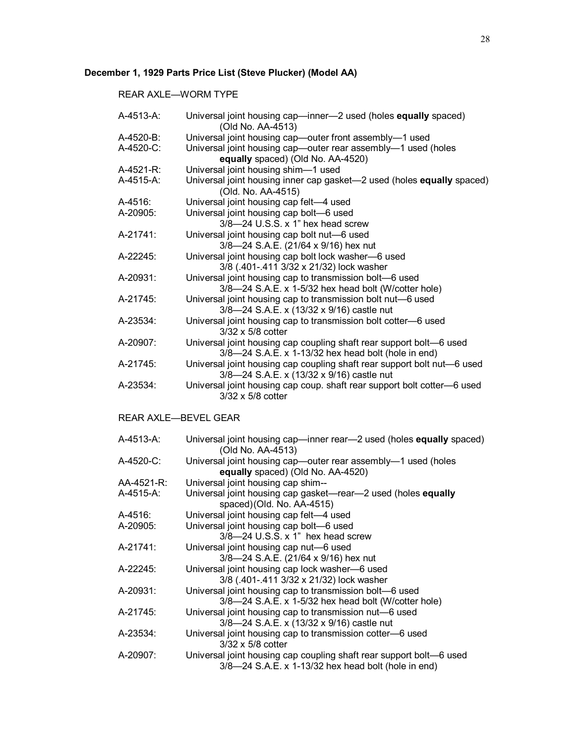# **December 1, 1929 Parts Price List (Steve Plucker) (Model AA)**

REAR AXLE—WORM TYPE

| A-4513-A:            | Universal joint housing cap-inner-2 used (holes equally spaced)<br>(Old No. AA-4513)               |
|----------------------|----------------------------------------------------------------------------------------------------|
| A-4520-B:            | Universal joint housing cap-outer front assembly-1 used                                            |
| A-4520-C:            | Universal joint housing cap-outer rear assembly-1 used (holes<br>equally spaced) (Old No. AA-4520) |
| A-4521-R:            | Universal joint housing shim-1 used                                                                |
| A-4515-A:            | Universal joint housing inner cap gasket-2 used (holes equally spaced)                             |
|                      | (Old. No. AA-4515)                                                                                 |
| A-4516:              | Universal joint housing cap felt-4 used                                                            |
| A-20905:             | Universal joint housing cap bolt-6 used                                                            |
|                      | $3/8$ -24 U.S.S. x 1" hex head screw                                                               |
| A-21741:             | Universal joint housing cap bolt nut-6 used                                                        |
|                      | 3/8-24 S.A.E. (21/64 x 9/16) hex nut                                                               |
| A-22245:             | Universal joint housing cap bolt lock washer-6 used                                                |
|                      | 3/8 (.401-.411 3/32 x 21/32) lock washer                                                           |
| A-20931:             | Universal joint housing cap to transmission bolt-6 used                                            |
|                      | 3/8-24 S.A.E. x 1-5/32 hex head bolt (W/cotter hole)                                               |
| A-21745:             | Universal joint housing cap to transmission bolt nut-6 used                                        |
|                      | 3/8-24 S.A.E. x (13/32 x 9/16) castle nut                                                          |
|                      |                                                                                                    |
| A-23534:             | Universal joint housing cap to transmission bolt cotter-6 used                                     |
|                      | 3/32 x 5/8 cotter                                                                                  |
| A-20907:             | Universal joint housing cap coupling shaft rear support bolt-6 used                                |
|                      | 3/8-24 S.A.E. x 1-13/32 hex head bolt (hole in end)                                                |
| A-21745:             | Universal joint housing cap coupling shaft rear support bolt nut-6 used                            |
|                      | 3/8-24 S.A.E. x (13/32 x 9/16) castle nut                                                          |
| A-23534:             | Universal joint housing cap coup. shaft rear support bolt cotter-6 used                            |
|                      | 3/32 x 5/8 cotter                                                                                  |
| REAR AXLE-BEVEL GEAR |                                                                                                    |
|                      |                                                                                                    |
| A-4513-A:            | Universal joint housing cap—inner rear—2 used (holes equally spaced)                               |
|                      | (Old No. AA-4513)                                                                                  |
| A-4520-C:            | Universal joint housing cap-outer rear assembly-1 used (holes                                      |
|                      | equally spaced) (Old No. AA-4520)                                                                  |
| AA-4521-R:           | Universal joint housing cap shim--                                                                 |
| A-4515-A:            | Universal joint housing cap gasket-rear-2 used (holes equally                                      |
|                      | spaced)(Old. No. AA-4515)                                                                          |
| A-4516:              | Universal joint housing cap felt-4 used                                                            |
| A-20905:             | Universal joint housing cap bolt-6 used                                                            |
|                      | 3/8-24 U.S.S. x 1" hex head screw                                                                  |
| A-21741:             | Universal joint housing cap nut-6 used                                                             |
|                      | 3/8-24 S.A.E. (21/64 x 9/16) hex nut                                                               |
| A-22245:             | Universal joint housing cap lock washer-6 used                                                     |
|                      | 3/8 (.401-.411 3/32 x 21/32) lock washer                                                           |
| A-20931:             | Universal joint housing cap to transmission bolt-6 used                                            |
|                      | 3/8-24 S.A.E. x 1-5/32 hex head bolt (W/cotter hole)                                               |
| A-21745:             | Universal joint housing cap to transmission nut-6 used                                             |
|                      | 3/8-24 S.A.E. x (13/32 x 9/16) castle nut                                                          |
| A-23534:             | Universal joint housing cap to transmission cotter-6 used                                          |
|                      | 3/32 x 5/8 cotter                                                                                  |
| A-20907:             | Universal joint housing cap coupling shaft rear support bolt-6 used                                |
|                      |                                                                                                    |
|                      | 3/8-24 S.A.E. x 1-13/32 hex head bolt (hole in end)                                                |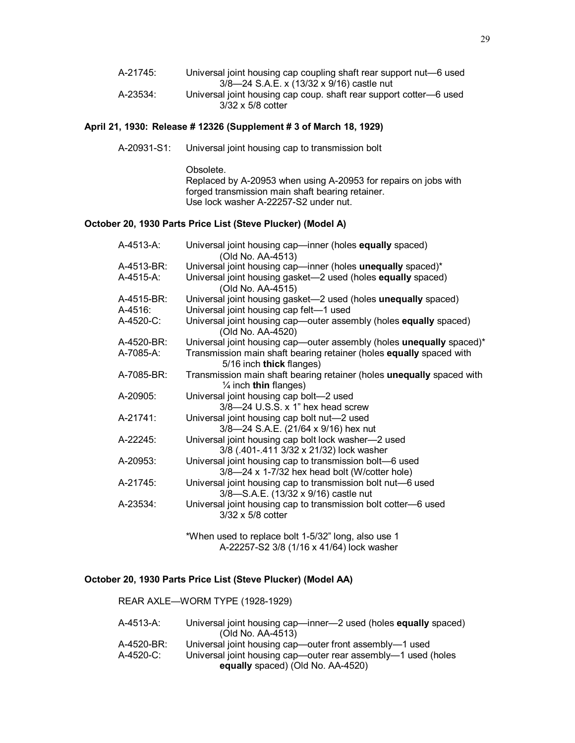| A-21745: | Universal joint housing cap coupling shaft rear support nut—6 used |
|----------|--------------------------------------------------------------------|
|          | 3/8-24 S.A.E. x (13/32 x 9/16) castle nut                          |
| A-23534: | Universal joint housing cap coup. shaft rear support cotter-6 used |
|          | $3/32 \times 5/8$ cotter                                           |

## **April 21, 1930: Release # 12326 (Supplement # 3 of March 18, 1929)**

A-20931-S1: Universal joint housing cap to transmission bolt

Obsolete. Replaced by A-20953 when using A-20953 for repairs on jobs with forged transmission main shaft bearing retainer. Use lock washer A-22257-S2 under nut.

## **October 20, 1930 Parts Price List (Steve Plucker) (Model A)**

| A-4513-A:  | Universal joint housing cap—inner (holes equally spaced)<br>(Old No. AA-4513)                               |
|------------|-------------------------------------------------------------------------------------------------------------|
| A-4513-BR: | Universal joint housing cap-inner (holes unequally spaced)*                                                 |
| A-4515-A:  | Universal joint housing gasket-2 used (holes equally spaced)<br>(Old No. AA-4515)                           |
| A-4515-BR: | Universal joint housing gasket-2 used (holes unequally spaced)                                              |
| $A-4516$ : | Universal joint housing cap felt-1 used                                                                     |
| A-4520-C:  | Universal joint housing cap—outer assembly (holes equally spaced)<br>(Old No. AA-4520)                      |
| A-4520-BR: | Universal joint housing cap—outer assembly (holes unequally spaced)*                                        |
| A-7085-A:  | Transmission main shaft bearing retainer (holes equally spaced with<br>5/16 inch thick flanges)             |
| A-7085-BR: | Transmission main shaft bearing retainer (holes unequally spaced with<br>$\frac{1}{4}$ inch thin flanges)   |
| A-20905:   | Universal joint housing cap bolt-2 used<br>3/8-24 U.S.S. x 1" hex head screw                                |
| A-21741:   | Universal joint housing cap bolt nut-2 used<br>3/8-24 S.A.E. (21/64 x 9/16) hex nut                         |
| A-22245:   | Universal joint housing cap bolt lock washer-2 used<br>3/8 (.401-.411 3/32 x 21/32) lock washer             |
| A-20953:   | Universal joint housing cap to transmission bolt-6 used<br>$3/8$ —24 x 1-7/32 hex head bolt (W/cotter hole) |
| A-21745:   | Universal joint housing cap to transmission bolt nut-6 used<br>3/8-S.A.E. (13/32 x 9/16) castle nut         |
| A-23534:   | Universal joint housing cap to transmission bolt cotter-6 used<br>$3/32 \times 5/8$ cotter                  |
|            | *When used to replace bolt 1-5/32" long, also use 1                                                         |

A-22257-S2 3/8 (1/16 x 41/64) lock washer

# **October 20, 1930 Parts Price List (Steve Plucker) (Model AA)**

|                         | REAR AXLE-WORM TYPE (1928-1929)                                                                                                                               |
|-------------------------|---------------------------------------------------------------------------------------------------------------------------------------------------------------|
| A-4513-A:               | Universal joint housing cap—inner—2 used (holes equally spaced)<br>(Old No. AA-4513)                                                                          |
| A-4520-BR:<br>A-4520-C: | Universal joint housing cap—outer front assembly—1 used<br>Universal joint housing cap—outer rear assembly—1 used (holes<br>equally spaced) (Old No. AA-4520) |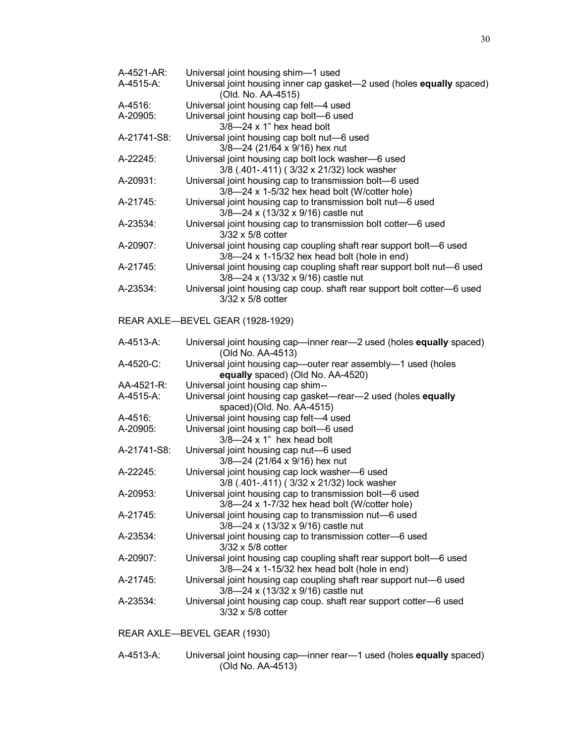| A-4521-AR:                  | Universal joint housing shim-1 used                                                                           |  |
|-----------------------------|---------------------------------------------------------------------------------------------------------------|--|
| A-4515-A:                   | Universal joint housing inner cap gasket-2 used (holes equally spaced)<br>(Old. No. AA-4515)                  |  |
| A-4516:                     | Universal joint housing cap felt-4 used                                                                       |  |
| A-20905:                    | Universal joint housing cap bolt-6 used                                                                       |  |
|                             | $3/8 - 24 \times 1$ " hex head bolt                                                                           |  |
| A-21741-S8:                 | Universal joint housing cap bolt nut-6 used                                                                   |  |
|                             | 3/8-24 (21/64 x 9/16) hex nut                                                                                 |  |
| A-22245:                    | Universal joint housing cap bolt lock washer-6 used<br>3/8 (.401-.411) (3/32 x 21/32) lock washer             |  |
| A-20931:                    | Universal joint housing cap to transmission bolt-6 used                                                       |  |
|                             | 3/8-24 x 1-5/32 hex head bolt (W/cotter hole)                                                                 |  |
| A-21745:                    | Universal joint housing cap to transmission bolt nut-6 used                                                   |  |
|                             | 3/8-24 x (13/32 x 9/16) castle nut                                                                            |  |
| A-23534:                    | Universal joint housing cap to transmission bolt cotter-6 used<br>3/32 x 5/8 cotter                           |  |
| A-20907:                    | Universal joint housing cap coupling shaft rear support bolt-6 used                                           |  |
|                             | $3/8$ -24 x 1-15/32 hex head bolt (hole in end)                                                               |  |
| A-21745:                    | Universal joint housing cap coupling shaft rear support bolt nut-6 used<br>3/8-24 x (13/32 x 9/16) castle nut |  |
| A-23534:                    | Universal joint housing cap coup. shaft rear support bolt cotter-6 used                                       |  |
|                             | 3/32 x 5/8 cotter                                                                                             |  |
|                             |                                                                                                               |  |
|                             | REAR AXLE-BEVEL GEAR (1928-1929)                                                                              |  |
| A-4513-A:                   | Universal joint housing cap—inner rear—2 used (holes equally spaced)<br>(Old No. AA-4513)                     |  |
| A-4520-C:                   | Universal joint housing cap-outer rear assembly-1 used (holes<br>equally spaced) (Old No. AA-4520)            |  |
| AA-4521-R:                  | Universal joint housing cap shim--                                                                            |  |
| A-4515-A:                   | Universal joint housing cap gasket-rear-2 used (holes equally                                                 |  |
|                             | spaced)(Old. No. AA-4515)                                                                                     |  |
| A-4516:                     | Universal joint housing cap felt-4 used                                                                       |  |
| A-20905:                    | Universal joint housing cap bolt-6 used                                                                       |  |
|                             | $3/8 - 24 \times 1$ " hex head bolt                                                                           |  |
| A-21741-S8:                 | Universal joint housing cap nut-6 used                                                                        |  |
|                             | 3/8-24 (21/64 x 9/16) hex nut                                                                                 |  |
| A-22245:                    | Universal joint housing cap lock washer-6 used                                                                |  |
|                             | 3/8 (.401-.411) (3/32 x 21/32) lock washer                                                                    |  |
| A-20953:                    | Universal joint housing cap to transmission bolt-6 used                                                       |  |
|                             | $3/8$ —24 x 1-7/32 hex head bolt (W/cotter hole)                                                              |  |
| A-21745:                    | Universal joint housing cap to transmission nut-6 used                                                        |  |
|                             | 3/8-24 x (13/32 x 9/16) castle nut<br>Universal joint housing cap to transmission cotter-6 used               |  |
| A-23534:                    | 3/32 x 5/8 cotter                                                                                             |  |
| A-20907:                    | Universal joint housing cap coupling shaft rear support bolt-6 used                                           |  |
|                             | $3/8$ -24 x 1-15/32 hex head bolt (hole in end)                                                               |  |
| A-21745:                    | Universal joint housing cap coupling shaft rear support nut-6 used                                            |  |
|                             | 3/8-24 x (13/32 x 9/16) castle nut                                                                            |  |
| A-23534:                    | Universal joint housing cap coup. shaft rear support cotter-6 used                                            |  |
|                             | 3/32 x 5/8 cotter                                                                                             |  |
|                             |                                                                                                               |  |
| REAR AXLE-BEVEL GEAR (1930) |                                                                                                               |  |
|                             |                                                                                                               |  |

A-4513-A: Universal joint housing cap—inner rear—1 used (holes **equally** spaced) (Old No. AA-4513)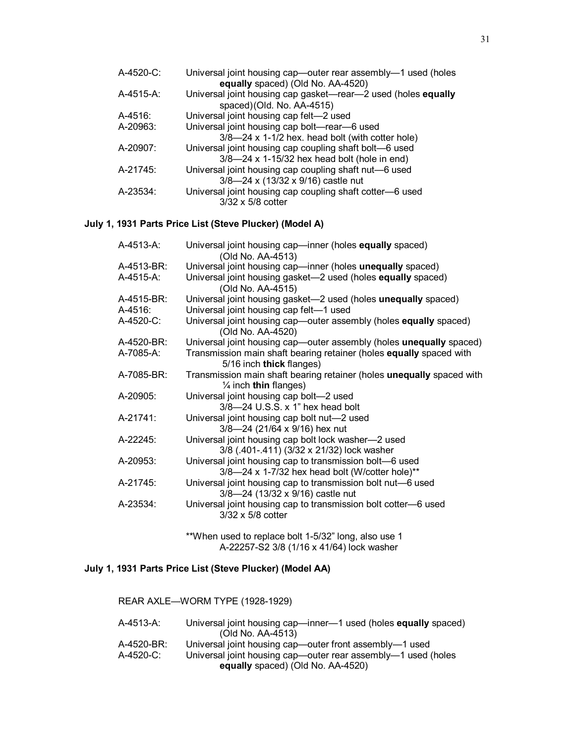| A-4520-C: | Universal joint housing cap-outer rear assembly-1 used (holes |
|-----------|---------------------------------------------------------------|
|           | equally spaced) (Old No. AA-4520)                             |
| A-4515-A: | Universal joint housing cap gasket—rear—2 used (holes equally |
|           | spaced)(Old. No. AA-4515)                                     |
| A-4516:   | Universal joint housing cap felt-2 used                       |
| A-20963:  | Universal joint housing cap bolt-rear-6 used                  |
|           | 3/8-24 x 1-1/2 hex. head bolt (with cotter hole)              |
| A-20907:  | Universal joint housing cap coupling shaft bolt—6 used        |
|           | $3/8$ —24 x 1-15/32 hex head bolt (hole in end)               |
| A-21745:  | Universal joint housing cap coupling shaft nut-6 used         |
|           | 3/8-24 x (13/32 x 9/16) castle nut                            |
| A-23534:  | Universal joint housing cap coupling shaft cotter-6 used      |
|           | 3/32 x 5/8 cotter                                             |

## **July 1, 1931 Parts Price List (Steve Plucker) (Model A)**

| A-4513-A:  | Universal joint housing cap-inner (holes equally spaced)<br>(Old No. AA-4513)                              |
|------------|------------------------------------------------------------------------------------------------------------|
| A-4513-BR: | Universal joint housing cap—inner (holes unequally spaced)                                                 |
| A-4515-A:  | Universal joint housing gasket-2 used (holes equally spaced)<br>(Old No. AA-4515)                          |
| A-4515-BR: | Universal joint housing gasket-2 used (holes unequally spaced)                                             |
| $A-4516$ : | Universal joint housing cap felt-1 used                                                                    |
| A-4520-C:  | Universal joint housing cap-outer assembly (holes equally spaced)<br>(Old No. AA-4520)                     |
| A-4520-BR: | Universal joint housing cap-outer assembly (holes unequally spaced)                                        |
| A-7085-A:  | Transmission main shaft bearing retainer (holes equally spaced with<br>5/16 inch thick flanges)            |
| A-7085-BR: | Transmission main shaft bearing retainer (holes unequally spaced with<br>$\frac{1}{4}$ inch thin flanges)  |
| A-20905:   | Universal joint housing cap bolt-2 used<br>$3/8$ -24 U.S.S. x 1" hex head bolt                             |
| A-21741:   | Universal joint housing cap bolt nut-2 used<br>3/8-24 (21/64 x 9/16) hex nut                               |
| A-22245:   | Universal joint housing cap bolt lock washer-2 used<br>3/8 (.401-.411) (3/32 x 21/32) lock washer          |
| A-20953:   | Universal joint housing cap to transmission bolt-6 used<br>3/8-24 x 1-7/32 hex head bolt (W/cotter hole)** |
| A-21745:   | Universal joint housing cap to transmission bolt nut-6 used<br>3/8-24 (13/32 x 9/16) castle nut            |
| A-23534:   | Universal joint housing cap to transmission bolt cotter-6 used<br>$3/32 \times 5/8$ cotter                 |
|            | **When used to replace bolt 1-5/32" long, also use 1                                                       |

A-22257-S2 3/8 (1/16 x 41/64) lock washer

# **July 1, 1931 Parts Price List (Steve Plucker) (Model AA)**

REAR AXLE—WORM TYPE (1928-1929) A-4513-A: Universal joint housing cap—inner—1 used (holes **equally** spaced) (Old No. AA-4513) A-4520-BR: Universal joint housing cap—outer front assembly—1 used<br>A-4520-C: Universal joint housing cap—outer rear assembly—1 used ( Universal joint housing cap—outer rear assembly—1 used (holes **equally** spaced) (Old No. AA-4520)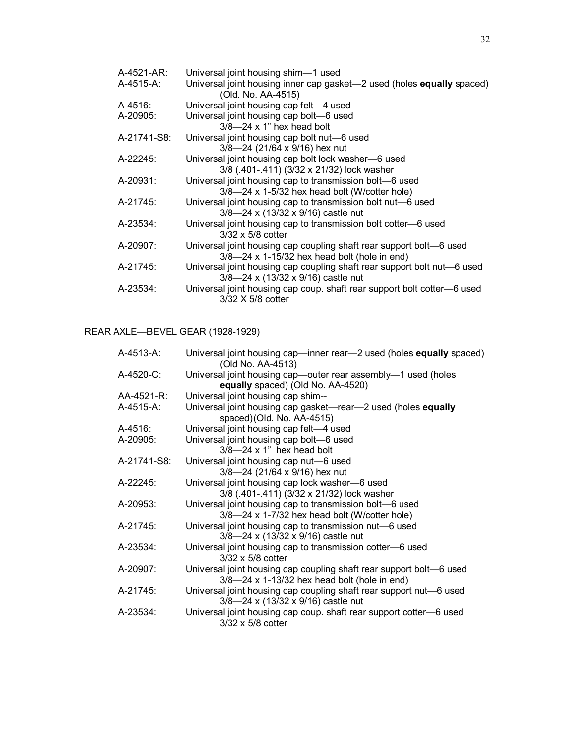| A-4521-AR:  | Universal joint housing shim-1 used                                     |
|-------------|-------------------------------------------------------------------------|
| A-4515-A:   | Universal joint housing inner cap gasket-2 used (holes equally spaced)  |
|             | (Old. No. AA-4515)                                                      |
| A-4516:     | Universal joint housing cap felt-4 used                                 |
| A-20905:    | Universal joint housing cap bolt-6 used                                 |
|             | $3/8 - 24 \times 1$ " hex head bolt                                     |
| A-21741-S8: | Universal joint housing cap bolt nut-6 used                             |
|             | 3/8-24 (21/64 x 9/16) hex nut                                           |
| A-22245:    | Universal joint housing cap bolt lock washer-6 used                     |
|             | 3/8 (.401-.411) (3/32 x 21/32) lock washer                              |
| A-20931:    | Universal joint housing cap to transmission bolt-6 used                 |
|             | $3/8$ —24 x 1-5/32 hex head bolt (W/cotter hole)                        |
| A-21745:    | Universal joint housing cap to transmission bolt nut-6 used             |
|             | $3/8$ -24 x (13/32 x 9/16) castle nut                                   |
| A-23534:    | Universal joint housing cap to transmission bolt cotter-6 used          |
|             | $3/32 \times 5/8$ cotter                                                |
| A-20907:    | Universal joint housing cap coupling shaft rear support bolt—6 used     |
|             | $3/8$ —24 x 1-15/32 hex head bolt (hole in end)                         |
| A-21745:    | Universal joint housing cap coupling shaft rear support bolt nut—6 used |
|             | $3/8$ -24 x (13/32 x 9/16) castle nut                                   |
| A-23534:    | Universal joint housing cap coup. shaft rear support bolt cotter-6 used |
|             | 3/32 X 5/8 cotter                                                       |

# REAR AXLE—BEVEL GEAR (1928-1929)

| A-4513-A:   | Universal joint housing cap—inner rear—2 used (holes equally spaced)<br>(Old No. AA-4513) |
|-------------|-------------------------------------------------------------------------------------------|
| A-4520-C:   | Universal joint housing cap—outer rear assembly—1 used (holes                             |
|             | equally spaced) (Old No. AA-4520)                                                         |
| AA-4521-R:  | Universal joint housing cap shim--                                                        |
| A-4515-A:   | Universal joint housing cap gasket-rear-2 used (holes equally                             |
|             | spaced)(Old. No. AA-4515)                                                                 |
| A-4516:     | Universal joint housing cap felt-4 used                                                   |
| A-20905:    | Universal joint housing cap bolt-6 used                                                   |
|             | $3/8$ -24 x 1" hex head bolt                                                              |
| A-21741-S8: | Universal joint housing cap nut-6 used                                                    |
|             | 3/8-24 (21/64 x 9/16) hex nut                                                             |
| A-22245:    | Universal joint housing cap lock washer-6 used                                            |
|             | 3/8 (.401-.411) (3/32 x 21/32) lock washer                                                |
| A-20953:    | Universal joint housing cap to transmission bolt-6 used                                   |
|             | $3/8$ —24 x 1-7/32 hex head bolt (W/cotter hole)                                          |
| A-21745:    | Universal joint housing cap to transmission nut-6 used                                    |
|             | 3/8-24 x (13/32 x 9/16) castle nut                                                        |
| A-23534:    | Universal joint housing cap to transmission cotter-6 used                                 |
|             | $3/32 \times 5/8$ cotter                                                                  |
| A-20907:    | Universal joint housing cap coupling shaft rear support bolt-6 used                       |
|             | $3/8$ —24 x 1-13/32 hex head bolt (hole in end)                                           |
| A-21745:    | Universal joint housing cap coupling shaft rear support nut-6 used                        |
|             | $3/8$ -24 x (13/32 x 9/16) castle nut                                                     |
| A-23534:    | Universal joint housing cap coup. shaft rear support cotter-6 used                        |
|             | $3/32 \times 5/8$ cotter                                                                  |